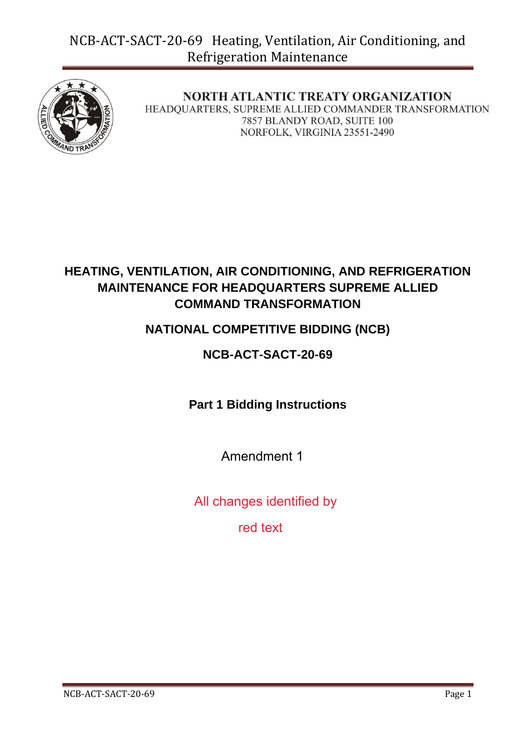

**NORTH ATLANTIC TREATY ORGANIZATION** HEADQUARTERS, SUPREME ALLIED COMMANDER TRANSFORMATION 7857 BLANDY ROAD, SUITE 100 NORFOLK, VIRGINIA 23551-2490

## **HEATING, VENTILATION, AIR CONDITIONING, AND REFRIGERATION MAINTENANCE FOR HEADQUARTERS SUPREME ALLIED COMMAND TRANSFORMATION**

## **NATIONAL COMPETITIVE BIDDING (NCB)**

## **NCB-ACT-SACT-20-69**

**Part 1 Bidding Instructions**

Amendment 1

All changes identified by

red text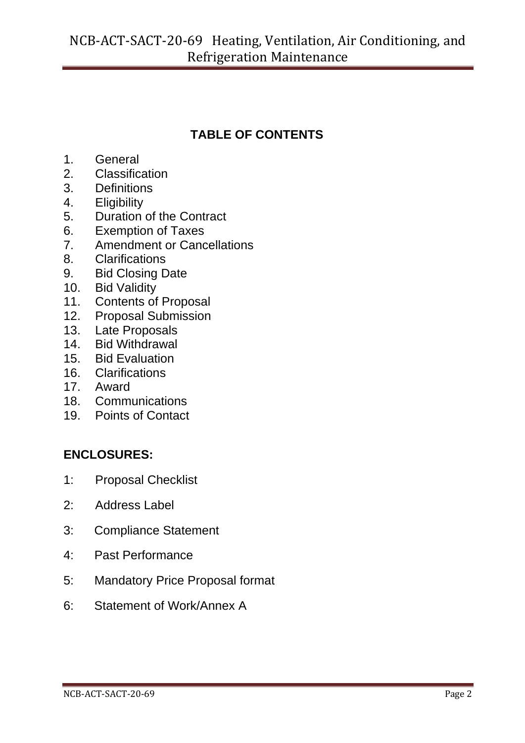# **TABLE OF CONTENTS**

- 1. General
- 2. Classification
- 3. Definitions
- 4. Eligibility
- 5. Duration of the Contract
- 6. Exemption of Taxes
- 7. Amendment or Cancellations
- 8. Clarifications
- 9. Bid Closing Date
- 10. Bid Validity
- 11. Contents of Proposal
- 12. Proposal Submission
- 13. Late Proposals
- 14. Bid Withdrawal
- 15. Bid Evaluation
- 16. Clarifications
- 17. Award
- 18. Communications
- 19. Points of Contact

### **ENCLOSURES:**

- 1: Proposal Checklist
- 2: Address Label
- 3: Compliance Statement
- 4: Past Performance
- 5: Mandatory Price Proposal format
- 6: Statement of Work/Annex A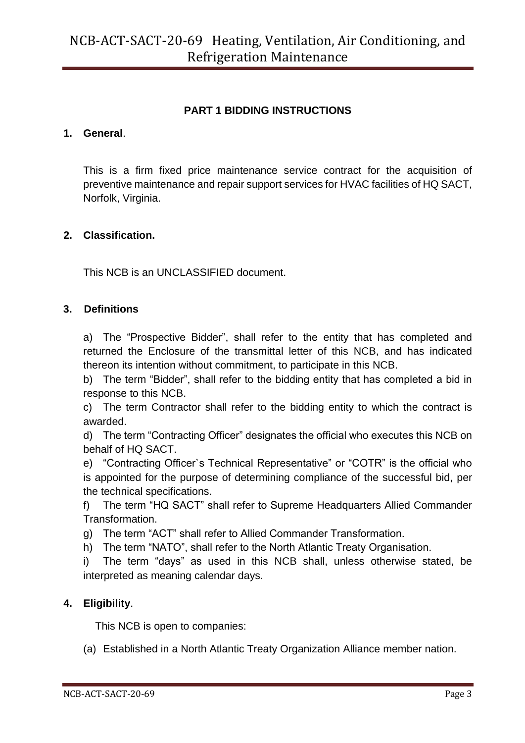### **PART 1 BIDDING INSTRUCTIONS**

#### **1. General**.

This is a firm fixed price maintenance service contract for the acquisition of preventive maintenance and repair support services for HVAC facilities of HQ SACT, Norfolk, Virginia.

#### **2. Classification.**

This NCB is an UNCLASSIFIED document.

#### **3. Definitions**

a) The "Prospective Bidder", shall refer to the entity that has completed and returned the Enclosure of the transmittal letter of this NCB, and has indicated thereon its intention without commitment, to participate in this NCB.

b) The term "Bidder", shall refer to the bidding entity that has completed a bid in response to this NCB.

c) The term Contractor shall refer to the bidding entity to which the contract is awarded.

d) The term "Contracting Officer" designates the official who executes this NCB on behalf of HQ SACT.

e) "Contracting Officer`s Technical Representative" or "COTR" is the official who is appointed for the purpose of determining compliance of the successful bid, per the technical specifications.

f) The term "HQ SACT" shall refer to Supreme Headquarters Allied Commander Transformation.

g) The term "ACT" shall refer to Allied Commander Transformation.

h) The term "NATO", shall refer to the North Atlantic Treaty Organisation.

i) The term "days" as used in this NCB shall, unless otherwise stated, be interpreted as meaning calendar days.

### **4. Eligibility**.

This NCB is open to companies:

(a) Established in a North Atlantic Treaty Organization Alliance member nation.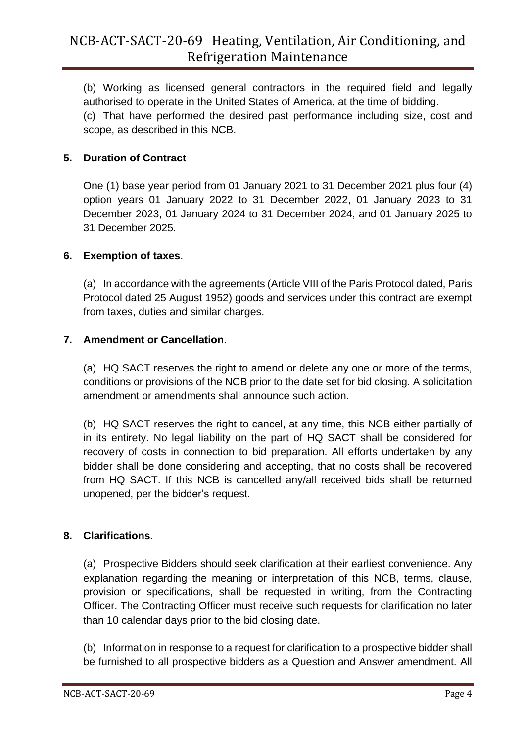(b) Working as licensed general contractors in the required field and legally authorised to operate in the United States of America, at the time of bidding.

(c) That have performed the desired past performance including size, cost and scope, as described in this NCB.

### **5. Duration of Contract**

One (1) base year period from 01 January 2021 to 31 December 2021 plus four (4) option years 01 January 2022 to 31 December 2022, 01 January 2023 to 31 December 2023, 01 January 2024 to 31 December 2024, and 01 January 2025 to 31 December 2025.

### **6. Exemption of taxes**.

(a) In accordance with the agreements (Article VIII of the Paris Protocol dated, Paris Protocol dated 25 August 1952) goods and services under this contract are exempt from taxes, duties and similar charges.

### **7. Amendment or Cancellation**.

(a) HQ SACT reserves the right to amend or delete any one or more of the terms, conditions or provisions of the NCB prior to the date set for bid closing. A solicitation amendment or amendments shall announce such action.

(b) HQ SACT reserves the right to cancel, at any time, this NCB either partially of in its entirety. No legal liability on the part of HQ SACT shall be considered for recovery of costs in connection to bid preparation. All efforts undertaken by any bidder shall be done considering and accepting, that no costs shall be recovered from HQ SACT. If this NCB is cancelled any/all received bids shall be returned unopened, per the bidder's request.

### **8. Clarifications**.

(a) Prospective Bidders should seek clarification at their earliest convenience. Any explanation regarding the meaning or interpretation of this NCB, terms, clause, provision or specifications, shall be requested in writing, from the Contracting Officer. The Contracting Officer must receive such requests for clarification no later than 10 calendar days prior to the bid closing date.

(b) Information in response to a request for clarification to a prospective bidder shall be furnished to all prospective bidders as a Question and Answer amendment. All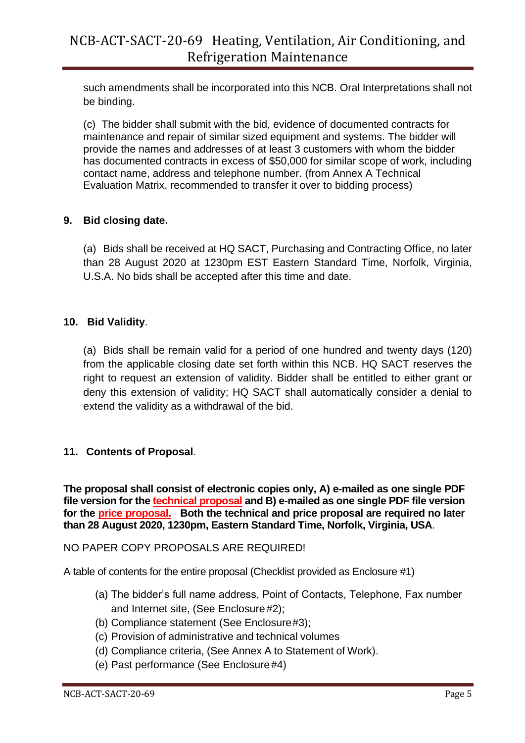such amendments shall be incorporated into this NCB. Oral Interpretations shall not be binding.

(c) The bidder shall submit with the bid, evidence of documented contracts for maintenance and repair of similar sized equipment and systems. The bidder will provide the names and addresses of at least 3 customers with whom the bidder has documented contracts in excess of \$50,000 for similar scope of work, including contact name, address and telephone number. (from Annex A Technical Evaluation Matrix, recommended to transfer it over to bidding process)

### **9. Bid closing date.**

(a) Bids shall be received at HQ SACT, Purchasing and Contracting Office, no later than 28 August 2020 at 1230pm EST Eastern Standard Time, Norfolk, Virginia, U.S.A. No bids shall be accepted after this time and date.

### **10. Bid Validity**.

(a) Bids shall be remain valid for a period of one hundred and twenty days (120) from the applicable closing date set forth within this NCB. HQ SACT reserves the right to request an extension of validity. Bidder shall be entitled to either grant or deny this extension of validity; HQ SACT shall automatically consider a denial to extend the validity as a withdrawal of the bid.

### **11. Contents of Proposal**.

**The proposal shall consist of electronic copies only, A) e-mailed as one single PDF file version for the technical proposal and B) e-mailed as one single PDF file version for the price proposal. Both the technical and price proposal are required no later than 28 August 2020, 1230pm, Eastern Standard Time, Norfolk, Virginia, USA**.

NO PAPER COPY PROPOSALS ARE REQUIRED!

A table of contents for the entire proposal (Checklist provided as Enclosure #1)

- (a) The bidder's full name address, Point of Contacts, Telephone, Fax number and Internet site, (See Enclosure #2);
- (b) Compliance statement (See Enclosure#3);
- (c) Provision of administrative and technical volumes
- (d) Compliance criteria, (See Annex A to Statement of Work).
- (e) Past performance (See Enclosure#4)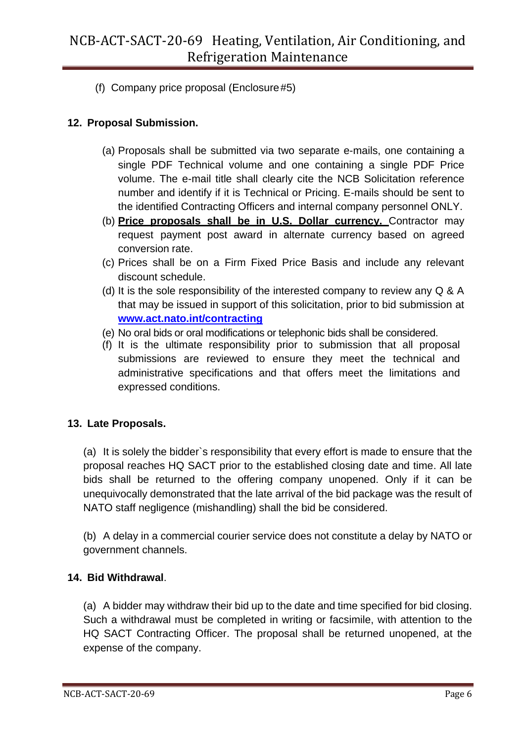(f) Company price proposal (Enclosure#5)

### **12. Proposal Submission.**

- (a) Proposals shall be submitted via two separate e-mails, one containing a single PDF Technical volume and one containing a single PDF Price volume. The e-mail title shall clearly cite the NCB Solicitation reference number and identify if it is Technical or Pricing. E-mails should be sent to the identified Contracting Officers and internal company personnel ONLY.
- (b) **Price proposals shall be in U.S. Dollar currency.** Contractor may request payment post award in alternate currency based on agreed conversion rate.
- (c) Prices shall be on a Firm Fixed Price Basis and include any relevant discount schedule.
- (d) It is the sole responsibility of the interested company to review any Q & A that may be issued in support of this solicitation, prior to bid submission at **[www.act.nato.int/contracting](http://www.act.nato.int/contracting)**
- (e) No oral bids or oral modifications or telephonic bids shall be considered.
- (f) It is the ultimate responsibility prior to submission that all proposal submissions are reviewed to ensure they meet the technical and administrative specifications and that offers meet the limitations and expressed conditions.

### **13. Late Proposals.**

(a) It is solely the bidder`s responsibility that every effort is made to ensure that the proposal reaches HQ SACT prior to the established closing date and time. All late bids shall be returned to the offering company unopened. Only if it can be unequivocally demonstrated that the late arrival of the bid package was the result of NATO staff negligence (mishandling) shall the bid be considered.

(b) A delay in a commercial courier service does not constitute a delay by NATO or government channels.

### **14. Bid Withdrawal**.

(a) A bidder may withdraw their bid up to the date and time specified for bid closing. Such a withdrawal must be completed in writing or facsimile, with attention to the HQ SACT Contracting Officer. The proposal shall be returned unopened, at the expense of the company.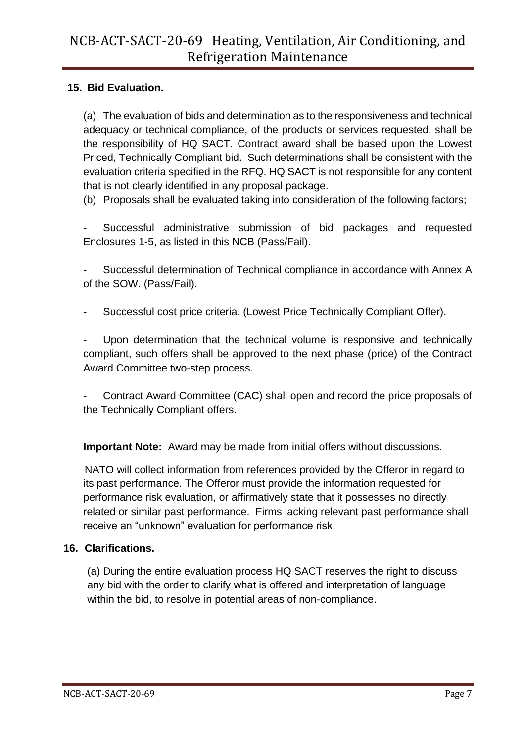### **15. Bid Evaluation.**

(a) The evaluation of bids and determination as to the responsiveness and technical adequacy or technical compliance, of the products or services requested, shall be the responsibility of HQ SACT. Contract award shall be based upon the Lowest Priced, Technically Compliant bid. Such determinations shall be consistent with the evaluation criteria specified in the RFQ. HQ SACT is not responsible for any content that is not clearly identified in any proposal package.

(b) Proposals shall be evaluated taking into consideration of the following factors;

Successful administrative submission of bid packages and requested Enclosures 1-5, as listed in this NCB (Pass/Fail).

Successful determination of Technical compliance in accordance with Annex A of the SOW. (Pass/Fail).

- Successful cost price criteria. (Lowest Price Technically Compliant Offer).

Upon determination that the technical volume is responsive and technically compliant, such offers shall be approved to the next phase (price) of the Contract Award Committee two-step process.

- Contract Award Committee (CAC) shall open and record the price proposals of the Technically Compliant offers.

**Important Note:** Award may be made from initial offers without discussions.

NATO will collect information from references provided by the Offeror in regard to its past performance. The Offeror must provide the information requested for performance risk evaluation, or affirmatively state that it possesses no directly related or similar past performance. Firms lacking relevant past performance shall receive an "unknown" evaluation for performance risk.

### **16. Clarifications.**

(a) During the entire evaluation process HQ SACT reserves the right to discuss any bid with the order to clarify what is offered and interpretation of language within the bid, to resolve in potential areas of non-compliance.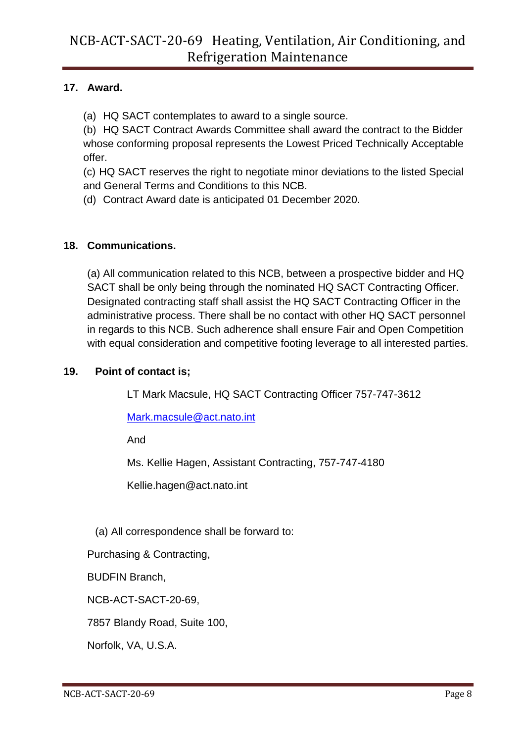### **17. Award.**

(a) HQ SACT contemplates to award to a single source.

(b) HQ SACT Contract Awards Committee shall award the contract to the Bidder whose conforming proposal represents the Lowest Priced Technically Acceptable offer.

(c) HQ SACT reserves the right to negotiate minor deviations to the listed Special and General Terms and Conditions to this NCB.

(d) Contract Award date is anticipated 01 December 2020.

### **18. Communications.**

(a) All communication related to this NCB, between a prospective bidder and HQ SACT shall be only being through the nominated HQ SACT Contracting Officer. Designated contracting staff shall assist the HQ SACT Contracting Officer in the administrative process. There shall be no contact with other HQ SACT personnel in regards to this NCB. Such adherence shall ensure Fair and Open Competition with equal consideration and competitive footing leverage to all interested parties.

### **19. Point of contact is;**

LT Mark Macsule, HQ SACT Contracting Officer 757-747-3612

[Mark.macsule@act.nato.int](mailto:Mark.macsule@act.nato.int)

And

Ms. Kellie Hagen, Assistant Contracting, 757-747-4180

[Kellie.hagen@act.nato.int](mailto:Kellie.hagen@act.nato.int)

(a) All correspondence shall be forward to:

Purchasing & Contracting,

BUDFIN Branch,

NCB-ACT-SACT-20-69,

7857 Blandy Road, Suite 100,

Norfolk, VA, U.S.A.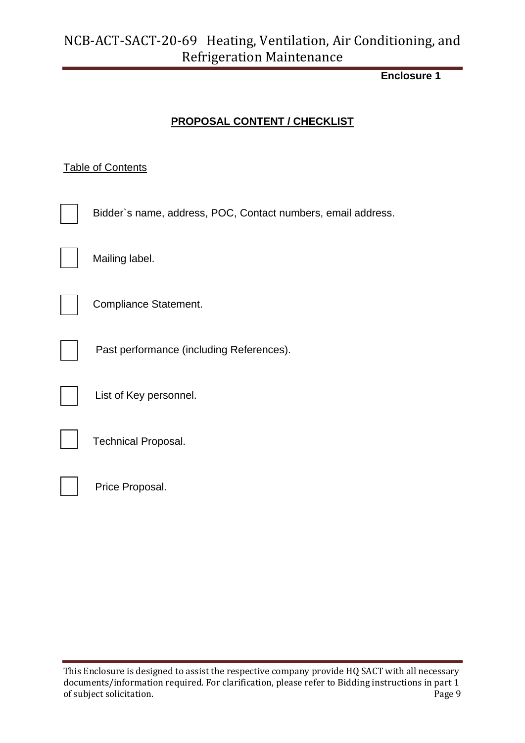### **Enclosure 1**

### **PROPOSAL CONTENT / CHECKLIST**

### **Table of Contents**

| Bidder's name, address, POC, Contact numbers, email address. |
|--------------------------------------------------------------|
| Mailing label.                                               |
| Compliance Statement.                                        |
| Past performance (including References).                     |
| List of Key personnel.                                       |
| <b>Technical Proposal.</b>                                   |
| Price Proposal.                                              |

This Enclosure is designed to assist the respective company provide HQ SACT with all necessary documents/information required. For clarification, please refer to Bidding instructions in part 1 of subject solicitation. Page 9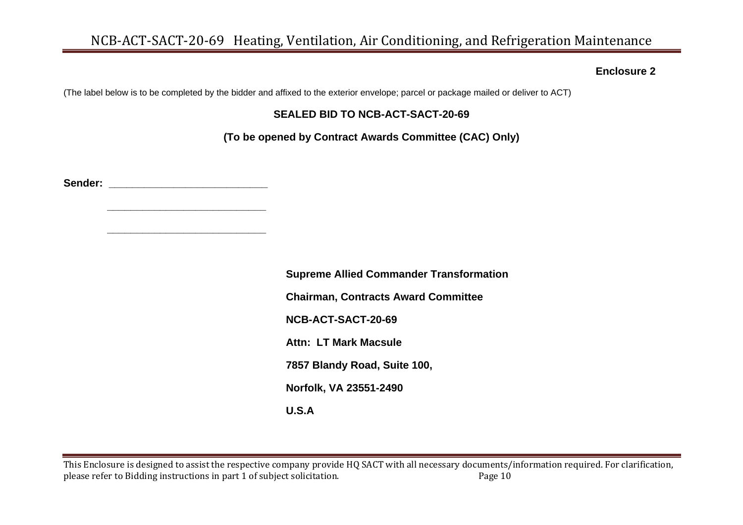#### **Enclosure 2**

(The label below is to be completed by the bidder and affixed to the exterior envelope; parcel or package mailed or deliver to ACT)

#### **SEALED BID TO NCB-ACT-SACT-20-69**

**(To be opened by Contract Awards Committee (CAC) Only)**

**Sender: \_\_\_\_\_\_\_\_\_\_\_\_\_\_\_\_\_\_\_\_\_\_\_\_\_\_\_**

 **\_\_\_\_\_\_\_\_\_\_\_\_\_\_\_\_\_\_\_\_\_\_\_\_\_\_\_**

 **\_\_\_\_\_\_\_\_\_\_\_\_\_\_\_\_\_\_\_\_\_\_\_\_\_\_\_**

**Supreme Allied Commander Transformation Chairman, Contracts Award Committee NCB-ACT-SACT-20-69 Attn: LT Mark Macsule 7857 Blandy Road, Suite 100, Norfolk, VA 23551-2490 U.S.A**

This Enclosure is designed to assist the respective company provide HQ SACT with all necessary documents/information required. For clarification, please refer to Bidding instructions in part 1 of subject solicitation. Page 10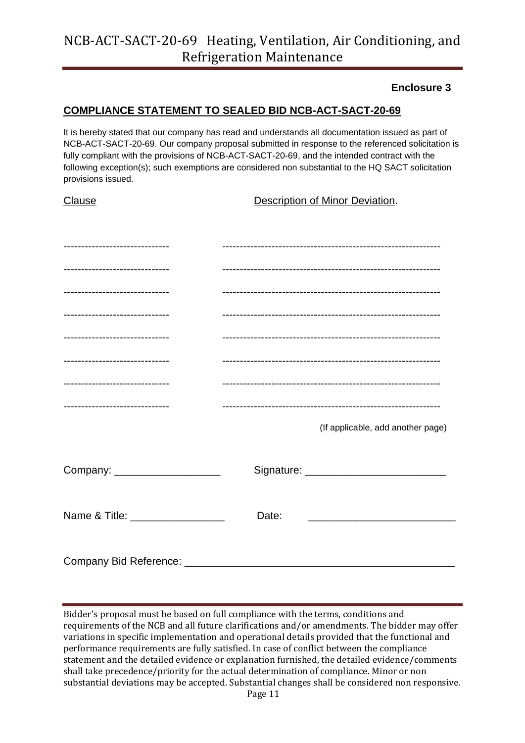#### **Enclosure 3**

#### **COMPLIANCE STATEMENT TO SEALED BID NCB-ACT-SACT-20-69**

It is hereby stated that our company has read and understands all documentation issued as part of NCB-ACT-SACT-20-69. Our company proposal submitted in response to the referenced solicitation is fully compliant with the provisions of NCB-ACT-SACT-20-69, and the intended contract with the following exception(s); such exemptions are considered non substantial to the HQ SACT solicitation provisions issued.

**Clause Description of Minor Deviation.** 

| -----------------------------   |       |                                   |
|---------------------------------|-------|-----------------------------------|
|                                 |       |                                   |
| -----------------------------   |       |                                   |
| -----------------------------   |       |                                   |
| ------------------------------  |       |                                   |
| -----------------------------   |       |                                   |
| -----------------------------   |       |                                   |
|                                 |       | (If applicable, add another page) |
|                                 |       |                                   |
| Company: ____________________   |       |                                   |
|                                 |       |                                   |
| Name & Title: _________________ | Date: |                                   |
|                                 |       |                                   |
|                                 |       |                                   |

Bidder's proposal must be based on full compliance with the terms, conditions and requirements of the NCB and all future clarifications and/or amendments. The bidder may offer variations in specific implementation and operational details provided that the functional and performance requirements are fully satisfied. In case of conflict between the compliance statement and the detailed evidence or explanation furnished, the detailed evidence/comments shall take precedence/priority for the actual determination of compliance. Minor or non substantial deviations may be accepted. Substantial changes shall be considered non responsive.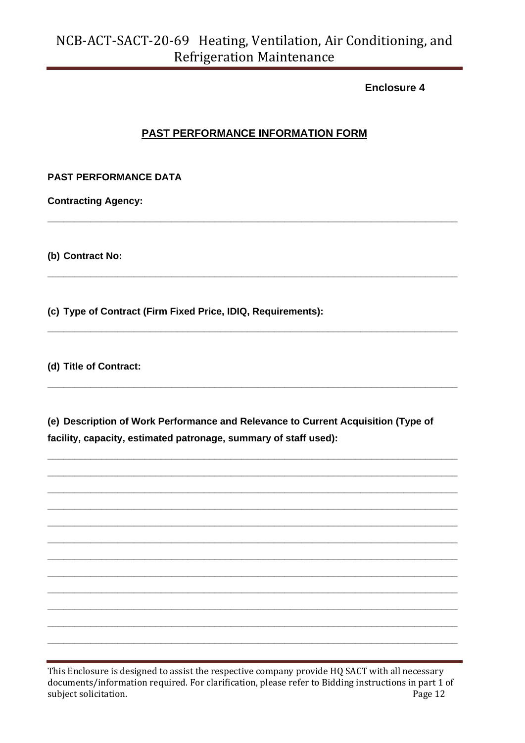**Fnclosure 4** 

### PAST PERFORMANCE INFORMATION FORM

#### **PAST PERFORMANCE DATA**

**Contracting Agency:** 

(b) Contract No:

(c) Type of Contract (Firm Fixed Price, IDIQ, Requirements):

(d) Title of Contract:

(e) Description of Work Performance and Relevance to Current Acquisition (Type of facility, capacity, estimated patronage, summary of staff used):

This Enclosure is designed to assist the respective company provide HQ SACT with all necessary documents/information required. For clarification, please refer to Bidding instructions in part 1 of subject solicitation. Page 12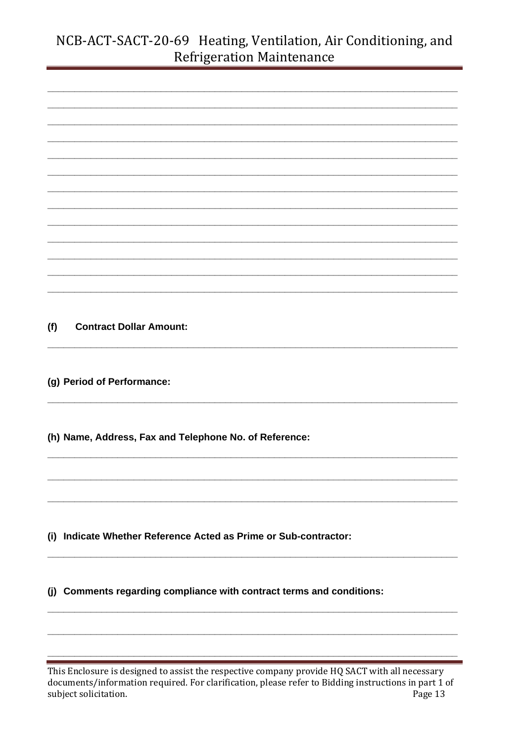| (f) | <b>Contract Dollar Amount:</b>                                        |
|-----|-----------------------------------------------------------------------|
|     |                                                                       |
|     |                                                                       |
|     | (g) Period of Performance:                                            |
|     |                                                                       |
|     |                                                                       |
|     |                                                                       |
|     | (h) Name, Address, Fax and Telephone No. of Reference:                |
|     |                                                                       |
|     |                                                                       |
|     |                                                                       |
|     |                                                                       |
|     |                                                                       |
|     | (i) Indicate Whether Reference Acted as Prime or Sub-contractor:      |
|     |                                                                       |
|     |                                                                       |
|     | (j) Comments regarding compliance with contract terms and conditions: |
|     |                                                                       |
|     |                                                                       |

This Enclosure is designed to assist the respective company provide HQ SACT with all necessary documents/information required. For clarification, please refer to Bidding instructions in part 1 of subject solicitation. Page 13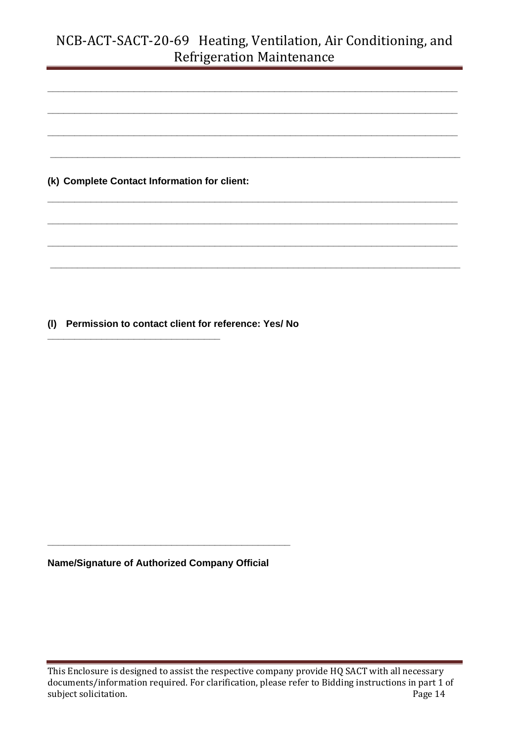**\_\_\_\_\_\_\_\_\_\_\_\_\_\_\_\_\_\_\_\_\_\_\_\_\_\_\_\_\_\_\_\_\_\_\_\_\_\_\_\_\_\_\_\_\_\_\_\_\_\_\_\_\_\_\_\_\_\_\_\_\_\_\_\_\_\_\_\_\_\_\_\_\_\_\_\_**

**\_\_\_\_\_\_\_\_\_\_\_\_\_\_\_\_\_\_\_\_\_\_\_\_\_\_\_\_\_\_\_\_\_\_\_\_\_\_\_\_\_\_\_\_\_\_\_\_\_\_\_\_\_\_\_\_\_\_\_\_\_\_\_\_\_\_\_\_\_\_\_\_\_\_\_\_**

**\_\_\_\_\_\_\_\_\_\_\_\_\_\_\_\_\_\_\_\_\_\_\_\_\_\_\_\_\_\_\_\_\_\_\_\_\_\_\_\_\_\_\_\_\_\_\_\_\_\_\_\_\_\_\_\_\_\_\_\_\_\_\_\_\_\_\_\_\_\_\_\_\_\_\_\_**

**\_\_\_\_\_\_\_\_\_\_\_\_\_\_\_\_\_\_\_\_\_\_\_\_\_\_\_\_\_\_\_\_\_\_\_\_\_\_\_\_\_\_\_\_\_\_\_\_\_\_\_\_\_\_\_\_\_\_\_\_\_\_\_\_\_\_\_\_\_\_\_\_\_\_\_\_**

**\_\_\_\_\_\_\_\_\_\_\_\_\_\_\_\_\_\_\_\_\_\_\_\_\_\_\_\_\_\_\_\_\_\_\_\_\_\_\_\_\_\_\_\_\_\_\_\_\_\_\_\_\_\_\_\_\_\_\_\_\_\_\_\_\_\_\_\_\_\_\_\_\_\_\_\_**

**\_\_\_\_\_\_\_\_\_\_\_\_\_\_\_\_\_\_\_\_\_\_\_\_\_\_\_\_\_\_\_\_\_\_\_\_\_\_\_\_\_\_\_\_\_\_\_\_\_\_\_\_\_\_\_\_\_\_\_\_\_\_\_\_\_\_\_\_\_\_\_\_\_\_\_\_**

**\_\_\_\_\_\_\_\_\_\_\_\_\_\_\_\_\_\_\_\_\_\_\_\_\_\_\_\_\_\_\_\_\_\_\_\_\_\_\_\_\_\_\_\_\_\_\_\_\_\_\_\_\_\_\_\_\_\_\_\_\_\_\_\_\_\_\_\_\_\_\_\_\_\_\_\_**

**\_\_\_\_\_\_\_\_\_\_\_\_\_\_\_\_\_\_\_\_\_\_\_\_\_\_\_\_\_\_\_\_\_\_\_\_\_\_\_\_\_\_\_\_\_\_\_\_\_\_\_\_\_\_\_\_\_\_\_\_\_\_\_\_\_\_\_\_\_\_\_\_\_\_\_\_**

**(k) Complete Contact Information for client:**

**(l) Permission to contact client for reference: Yes/ No** 

**\_\_\_\_\_\_\_\_\_\_\_\_\_\_\_\_\_\_\_\_\_\_\_\_\_\_\_\_\_\_\_\_**

**Name/Signature of Authorized Company Official** 

**\_\_\_\_\_\_\_\_\_\_\_\_\_\_\_\_\_\_\_\_\_\_\_\_\_\_\_\_\_\_\_\_\_\_\_\_\_\_\_\_\_\_\_\_\_**

This Enclosure is designed to assist the respective company provide HQ SACT with all necessary documents/information required. For clarification, please refer to Bidding instructions in part 1 of subject solicitation. Page 14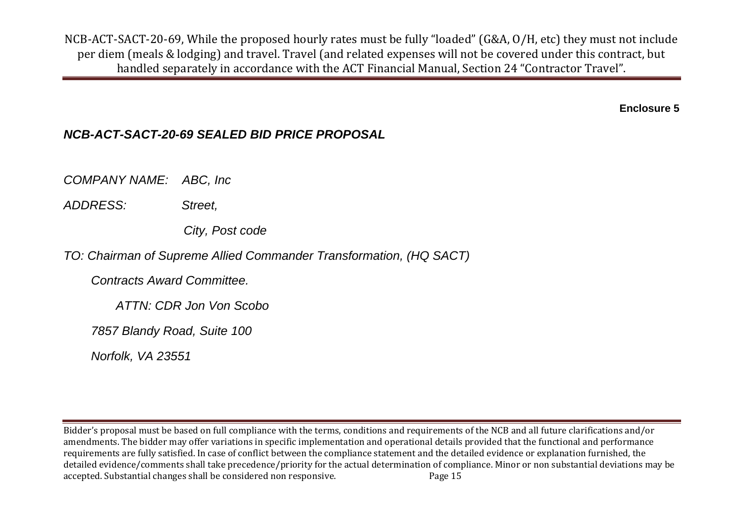**Enclosure 5**

### *NCB-ACT-SACT-20-69 SEALED BID PRICE PROPOSAL*

*COMPANY NAME: ABC, Inc* 

*ADDRESS: Street,*

 *City, Post code*

*TO: Chairman of Supreme Allied Commander Transformation, (HQ SACT)*

 *Contracts Award Committee.* 

 *ATTN: CDR Jon Von Scobo*

 *7857 Blandy Road, Suite 100*

 *Norfolk, VA 23551*

Bidder's proposal must be based on full compliance with the terms, conditions and requirements of the NCB and all future clarifications and/or amendments. The bidder may offer variations in specific implementation and operational details provided that the functional and performance requirements are fully satisfied. In case of conflict between the compliance statement and the detailed evidence or explanation furnished, the detailed evidence/comments shall take precedence/priority for the actual determination of compliance. Minor or non substantial deviations may be accepted. Substantial changes shall be considered non responsive. Page 15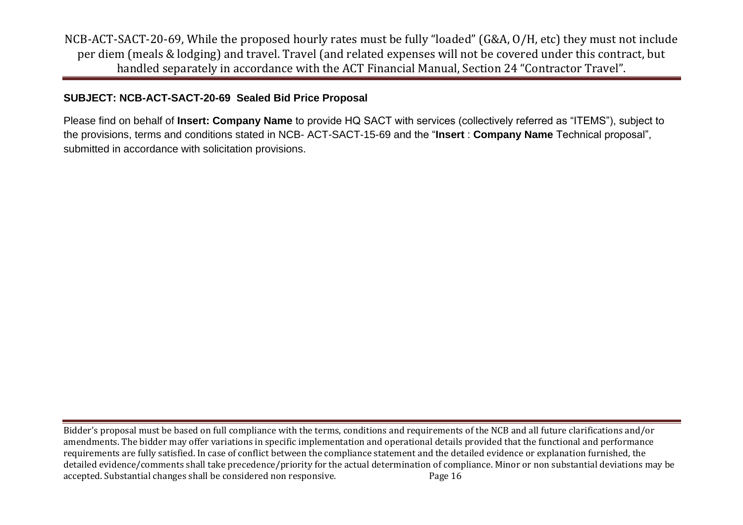### **SUBJECT: NCB-ACT-SACT-20-69 Sealed Bid Price Proposal**

Please find on behalf of **Insert: Company Name** to provide HQ SACT with services (collectively referred as "ITEMS"), subject to the provisions, terms and conditions stated in NCB- ACT-SACT-15-69 and the "**Insert** : **Company Name** Technical proposal", submitted in accordance with solicitation provisions.

Bidder's proposal must be based on full compliance with the terms, conditions and requirements of the NCB and all future clarifications and/or amendments. The bidder may offer variations in specific implementation and operational details provided that the functional and performance requirements are fully satisfied. In case of conflict between the compliance statement and the detailed evidence or explanation furnished, the detailed evidence/comments shall take precedence/priority for the actual determination of compliance. Minor or non substantial deviations may be accepted. Substantial changes shall be considered non responsive. Page 16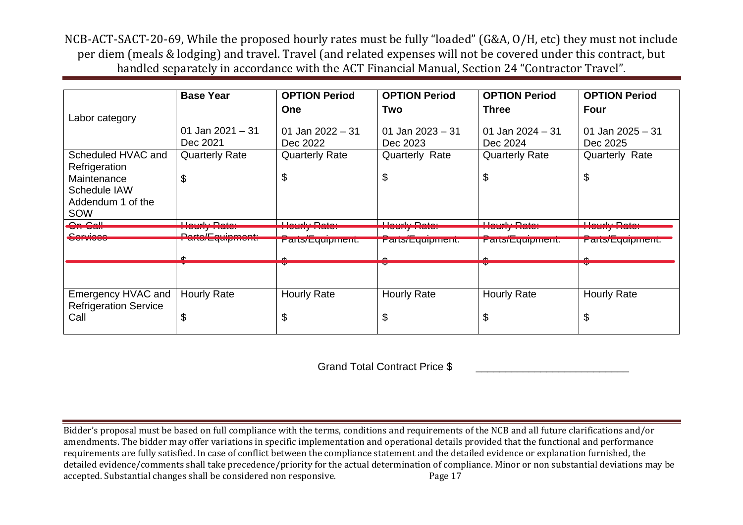|                                                         | <b>Base Year</b>                              | <b>OPTION Period</b>                        | <b>OPTION Period</b>                             | <b>OPTION Period</b>                      | <b>OPTION Period</b>                               |
|---------------------------------------------------------|-----------------------------------------------|---------------------------------------------|--------------------------------------------------|-------------------------------------------|----------------------------------------------------|
| Labor category                                          |                                               | <b>One</b>                                  | Two                                              | <b>Three</b>                              | Four                                               |
|                                                         | 01 Jan $2021 - 31$<br>Dec 2021                | 01 Jan 2022 $-31$<br>Dec 2022               | 01 Jan 2023 - 31<br>Dec 2023                     | 01 Jan 2024 - 31<br>Dec 2024              | 01 Jan $2025 - 31$<br>Dec 2025                     |
| Scheduled HVAC and<br>Refrigeration                     | <b>Quarterly Rate</b>                         | <b>Quarterly Rate</b>                       | <b>Quarterly Rate</b>                            | <b>Quarterly Rate</b>                     | Quarterly Rate                                     |
| Maintenance<br>Schedule IAW<br>Addendum 1 of the<br>SOW | \$                                            | \$                                          | S                                                | \$                                        | \$                                                 |
| سممحم<br><b>2000 - 2000</b>                             | بمعمدا بباسيمليا<br><b>TAXABLE AT TAXABLE</b> | بمفم فالتباسين مليلا<br><b>TERMINE AREA</b> | بمعمدا بباستمليك<br><u>i kama ing katabasan </u> | بمغمات باستمليك<br><b>LIVERIN DE L'AR</b> | بمغمات باستمليك<br><b>TOM REPORT OF A STATE OF</b> |
| --------                                                | $D$ onto $/L$ oningo o o d                    |                                             |                                                  |                                           |                                                    |
|                                                         | <u>und cyclicity</u>                          | <u>r arts/Equipment.</u>                    | r ans/c quipment.                                | r ans/c quipment.                         | r ans/Lyupment.                                    |
|                                                         |                                               |                                             |                                                  |                                           |                                                    |
|                                                         |                                               |                                             |                                                  |                                           | v                                                  |
| Emergency HVAC and<br><b>Refrigeration Service</b>      | <b>Hourly Rate</b>                            | <b>Hourly Rate</b>                          | <b>Hourly Rate</b>                               | <b>Hourly Rate</b>                        | <b>Hourly Rate</b>                                 |
| Call                                                    | \$                                            | \$                                          | J                                                | \$                                        | \$                                                 |

Grand Total Contract Price \$

Bidder's proposal must be based on full compliance with the terms, conditions and requirements of the NCB and all future clarifications and/or amendments. The bidder may offer variations in specific implementation and operational details provided that the functional and performance requirements are fully satisfied. In case of conflict between the compliance statement and the detailed evidence or explanation furnished, the detailed evidence/comments shall take precedence/priority for the actual determination of compliance. Minor or non substantial deviations may be accepted. Substantial changes shall be considered non responsive. Page 17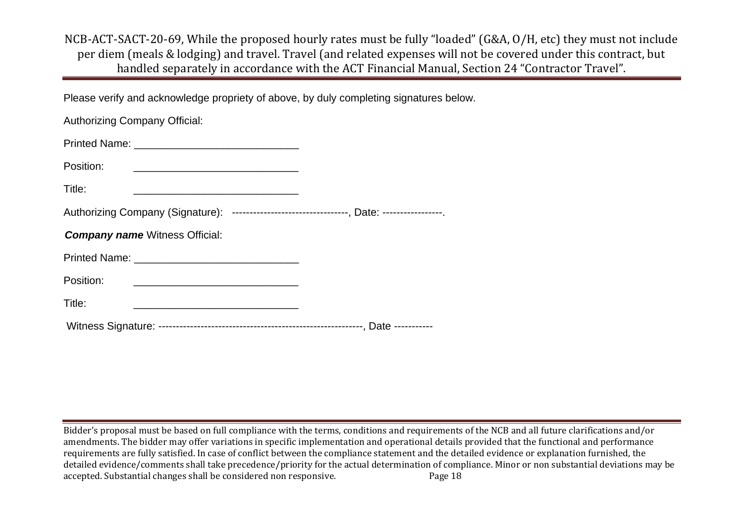Please verify and acknowledge propriety of above, by duly completing signatures below.

| <b>Authorizing Company Official:</b>                                                                                                                                                                                                              |  |
|---------------------------------------------------------------------------------------------------------------------------------------------------------------------------------------------------------------------------------------------------|--|
|                                                                                                                                                                                                                                                   |  |
| Position:                                                                                                                                                                                                                                         |  |
| Title:                                                                                                                                                                                                                                            |  |
| Authorizing Company (Signature): --------------------------------, Date: -----------------                                                                                                                                                        |  |
| <b>Company name Witness Official:</b>                                                                                                                                                                                                             |  |
| Printed Name: Name: Name and Separate and Separate and Separate and Separate and Separate and Separate and Separate and Separate and Separate and Separate and Separate and Separate and Separate and Separate and Separate an                    |  |
| Position:<br><u> 1989 - Johann Harry Harry Harry Harry Harry Harry Harry Harry Harry Harry Harry Harry Harry Harry Harry Harry Harry Harry Harry Harry Harry Harry Harry Harry Harry Harry Harry Harry Harry Harry Harry Harry Harry Harry Ha</u> |  |
| Title:<br><u> 1980 - Johann John Stone, markin film yn y brenin y brenin y brenin y brenin y brenin y brenin y brenin y br</u>                                                                                                                    |  |
|                                                                                                                                                                                                                                                   |  |

Bidder's proposal must be based on full compliance with the terms, conditions and requirements of the NCB and all future clarifications and/or amendments. The bidder may offer variations in specific implementation and operational details provided that the functional and performance requirements are fully satisfied. In case of conflict between the compliance statement and the detailed evidence or explanation furnished, the detailed evidence/comments shall take precedence/priority for the actual determination of compliance. Minor or non substantial deviations may be accepted. Substantial changes shall be considered non responsive. Page 18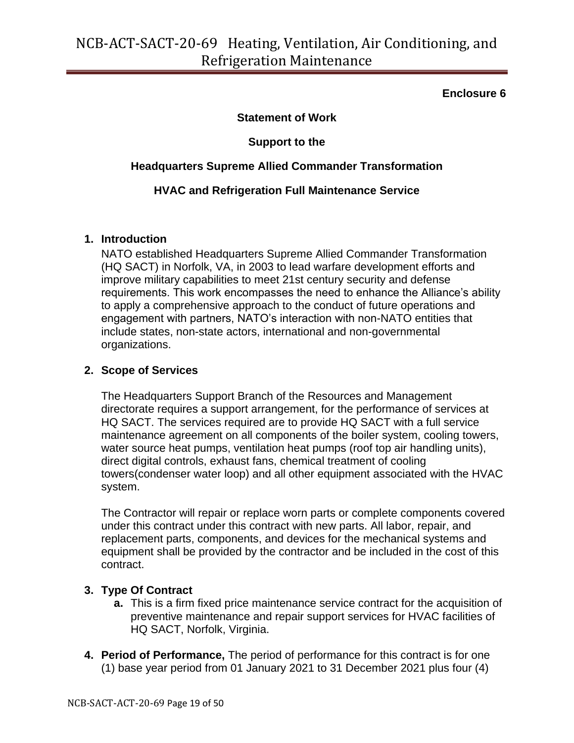#### **Enclosure 6**

#### **Statement of Work**

### **Support to the**

#### **Headquarters Supreme Allied Commander Transformation**

#### **HVAC and Refrigeration Full Maintenance Service**

#### **1. Introduction**

NATO established Headquarters Supreme Allied Commander Transformation (HQ SACT) in Norfolk, VA, in 2003 to lead warfare development efforts and improve military capabilities to meet 21st century security and defense requirements. This work encompasses the need to enhance the Alliance's ability to apply a comprehensive approach to the conduct of future operations and engagement with partners, NATO's interaction with non-NATO entities that include states, non-state actors, international and non-governmental organizations.

#### **2. Scope of Services**

The Headquarters Support Branch of the Resources and Management directorate requires a support arrangement, for the performance of services at HQ SACT. The services required are to provide HQ SACT with a full service maintenance agreement on all components of the boiler system, cooling towers, water source heat pumps, ventilation heat pumps (roof top air handling units), direct digital controls, exhaust fans, chemical treatment of cooling towers(condenser water loop) and all other equipment associated with the HVAC system.

The Contractor will repair or replace worn parts or complete components covered under this contract under this contract with new parts. All labor, repair, and replacement parts, components, and devices for the mechanical systems and equipment shall be provided by the contractor and be included in the cost of this contract.

#### **3. Type Of Contract**

- **a.** This is a firm fixed price maintenance service contract for the acquisition of preventive maintenance and repair support services for HVAC facilities of HQ SACT, Norfolk, Virginia.
- **4. Period of Performance,** The period of performance for this contract is for one (1) base year period from 01 January 2021 to 31 December 2021 plus four (4)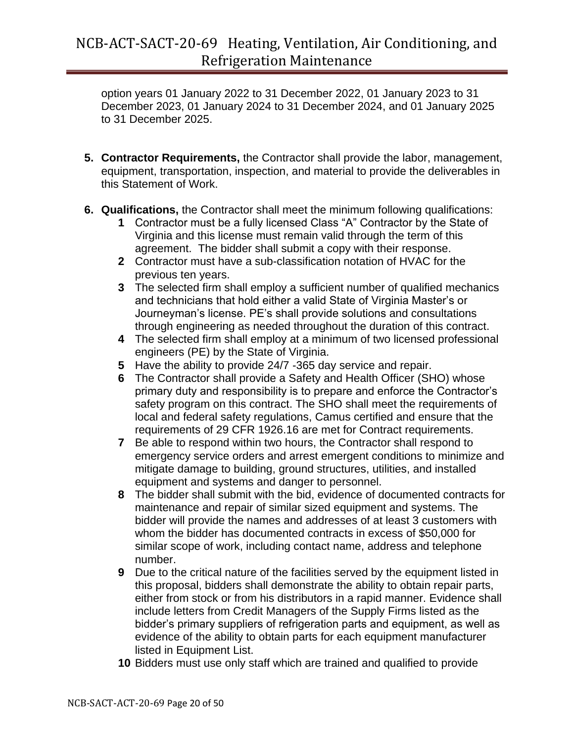option years 01 January 2022 to 31 December 2022, 01 January 2023 to 31 December 2023, 01 January 2024 to 31 December 2024, and 01 January 2025 to 31 December 2025.

- **5. Contractor Requirements,** the Contractor shall provide the labor, management, equipment, transportation, inspection, and material to provide the deliverables in this Statement of Work.
- **6. Qualifications,** the Contractor shall meet the minimum following qualifications:
	- **1** Contractor must be a fully licensed Class "A" Contractor by the State of Virginia and this license must remain valid through the term of this agreement. The bidder shall submit a copy with their response.
	- **2** Contractor must have a sub-classification notation of HVAC for the previous ten years.
	- **3** The selected firm shall employ a sufficient number of qualified mechanics and technicians that hold either a valid State of Virginia Master's or Journeyman's license. PE's shall provide solutions and consultations through engineering as needed throughout the duration of this contract.
	- **4** The selected firm shall employ at a minimum of two licensed professional engineers (PE) by the State of Virginia.
	- **5** Have the ability to provide 24/7 -365 day service and repair.
	- **6** The Contractor shall provide a Safety and Health Officer (SHO) whose primary duty and responsibility is to prepare and enforce the Contractor's safety program on this contract. The SHO shall meet the requirements of local and federal safety regulations, Camus certified and ensure that the requirements of 29 CFR 1926.16 are met for Contract requirements.
	- **7** Be able to respond within two hours, the Contractor shall respond to emergency service orders and arrest emergent conditions to minimize and mitigate damage to building, ground structures, utilities, and installed equipment and systems and danger to personnel.
	- **8** The bidder shall submit with the bid, evidence of documented contracts for maintenance and repair of similar sized equipment and systems. The bidder will provide the names and addresses of at least 3 customers with whom the bidder has documented contracts in excess of \$50,000 for similar scope of work, including contact name, address and telephone number.
	- **9** Due to the critical nature of the facilities served by the equipment listed in this proposal, bidders shall demonstrate the ability to obtain repair parts, either from stock or from his distributors in a rapid manner. Evidence shall include letters from Credit Managers of the Supply Firms listed as the bidder's primary suppliers of refrigeration parts and equipment, as well as evidence of the ability to obtain parts for each equipment manufacturer listed in Equipment List.
	- **10** Bidders must use only staff which are trained and qualified to provide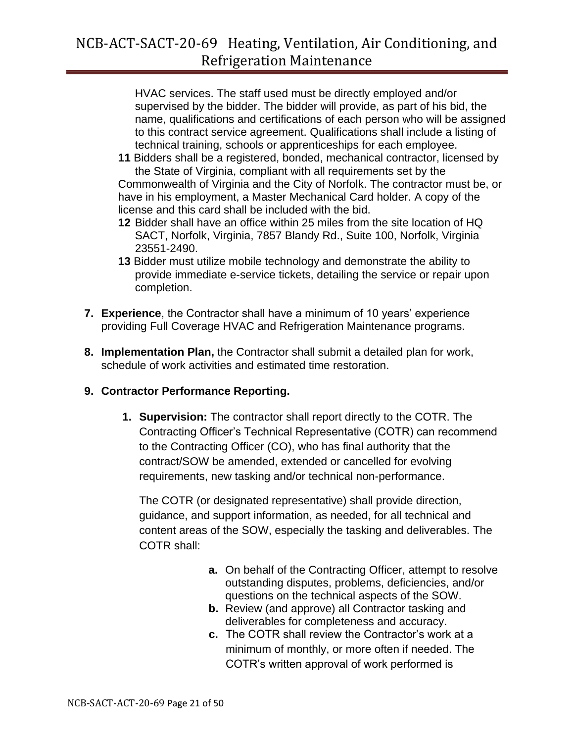HVAC services. The staff used must be directly employed and/or supervised by the bidder. The bidder will provide, as part of his bid, the name, qualifications and certifications of each person who will be assigned to this contract service agreement. Qualifications shall include a listing of technical training, schools or apprenticeships for each employee.

**11** Bidders shall be a registered, bonded, mechanical contractor, licensed by the State of Virginia, compliant with all requirements set by the Commonwealth of Virginia and the City of Norfolk. The contractor must be, or

have in his employment, a Master Mechanical Card holder. A copy of the license and this card shall be included with the bid.

- **12** Bidder shall have an office within 25 miles from the site location of HQ SACT, Norfolk, Virginia, 7857 Blandy Rd., Suite 100, Norfolk, Virginia 23551-2490.
- **13** Bidder must utilize mobile technology and demonstrate the ability to provide immediate e-service tickets, detailing the service or repair upon completion.
- **7. Experience**, the Contractor shall have a minimum of 10 years' experience providing Full Coverage HVAC and Refrigeration Maintenance programs.
- **8. Implementation Plan,** the Contractor shall submit a detailed plan for work, schedule of work activities and estimated time restoration.

### **9. Contractor Performance Reporting.**

**1. Supervision:** The contractor shall report directly to the COTR. The Contracting Officer's Technical Representative (COTR) can recommend to the Contracting Officer (CO), who has final authority that the contract/SOW be amended, extended or cancelled for evolving requirements, new tasking and/or technical non-performance.

The COTR (or designated representative) shall provide direction, guidance, and support information, as needed, for all technical and content areas of the SOW, especially the tasking and deliverables. The COTR shall:

- **a.** On behalf of the Contracting Officer, attempt to resolve outstanding disputes, problems, deficiencies, and/or questions on the technical aspects of the SOW.
- **b.** Review (and approve) all Contractor tasking and deliverables for completeness and accuracy.
- **c.** The COTR shall review the Contractor's work at a minimum of monthly, or more often if needed. The COTR's written approval of work performed is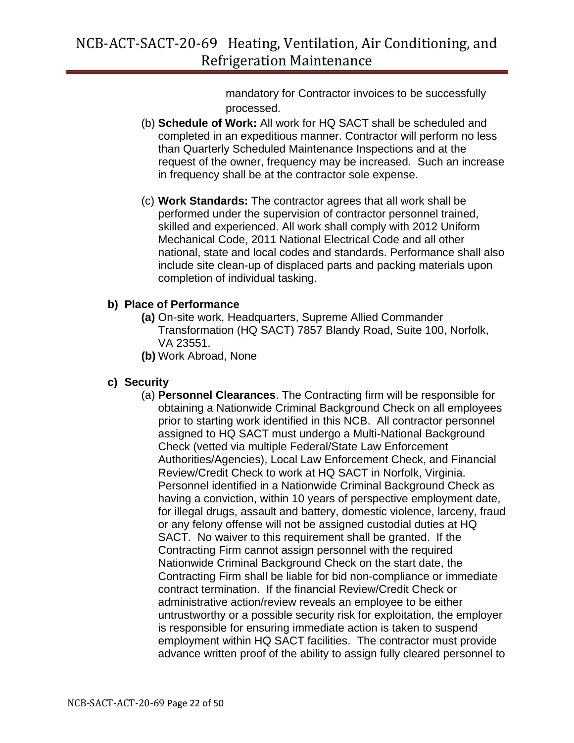mandatory for Contractor invoices to be successfully processed.

- (b) **Schedule of Work:** All work for HQ SACT shall be scheduled and completed in an expeditious manner. Contractor will perform no less than Quarterly Scheduled Maintenance Inspections and at the request of the owner, frequency may be increased. Such an increase in frequency shall be at the contractor sole expense.
- (c) **Work Standards:** The contractor agrees that all work shall be performed under the supervision of contractor personnel trained, skilled and experienced. All work shall comply with 2012 Uniform Mechanical Code, 2011 National Electrical Code and all other national, state and local codes and standards. Performance shall also include site clean-up of displaced parts and packing materials upon completion of individual tasking.

#### **b) Place of Performance**

- **(a)** On-site work, Headquarters, Supreme Allied Commander Transformation (HQ SACT) 7857 Blandy Road, Suite 100, Norfolk, VA 23551.
- **(b)** Work Abroad, None

### **c) Security**

(a) **Personnel Clearances**. The Contracting firm will be responsible for obtaining a Nationwide Criminal Background Check on all employees prior to starting work identified in this NCB. All contractor personnel assigned to HQ SACT must undergo a Multi-National Background Check (vetted via multiple Federal/State Law Enforcement Authorities/Agencies), Local Law Enforcement Check, and Financial Review/Credit Check to work at HQ SACT in Norfolk, Virginia. Personnel identified in a Nationwide Criminal Background Check as having a conviction, within 10 years of perspective employment date, for illegal drugs, assault and battery, domestic violence, larceny, fraud or any felony offense will not be assigned custodial duties at HQ SACT. No waiver to this requirement shall be granted. If the Contracting Firm cannot assign personnel with the required Nationwide Criminal Background Check on the start date, the Contracting Firm shall be liable for bid non-compliance or immediate contract termination. If the financial Review/Credit Check or administrative action/review reveals an employee to be either untrustworthy or a possible security risk for exploitation, the employer is responsible for ensuring immediate action is taken to suspend employment within HQ SACT facilities. The contractor must provide advance written proof of the ability to assign fully cleared personnel to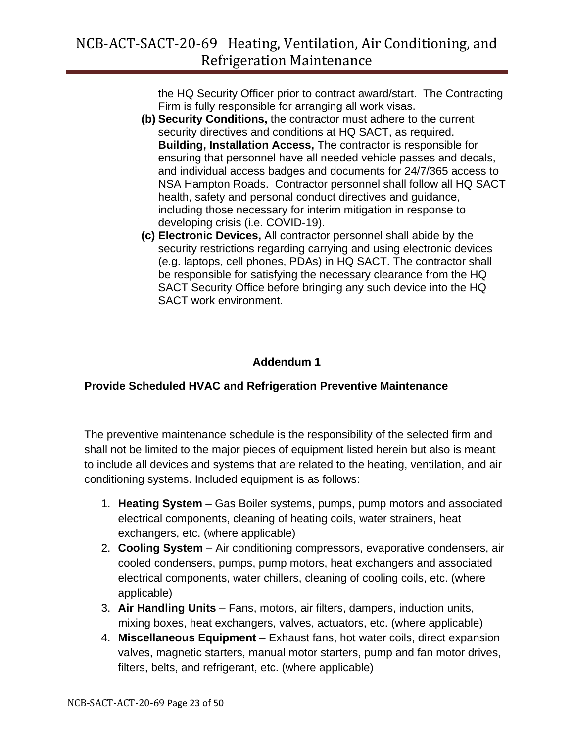the HQ Security Officer prior to contract award/start. The Contracting Firm is fully responsible for arranging all work visas.

- **(b) Security Conditions,** the contractor must adhere to the current security directives and conditions at HQ SACT, as required. **Building, Installation Access,** The contractor is responsible for ensuring that personnel have all needed vehicle passes and decals, and individual access badges and documents for 24/7/365 access to NSA Hampton Roads. Contractor personnel shall follow all HQ SACT health, safety and personal conduct directives and guidance, including those necessary for interim mitigation in response to developing crisis (i.e. COVID-19).
- **(c) Electronic Devices,** All contractor personnel shall abide by the security restrictions regarding carrying and using electronic devices (e.g. laptops, cell phones, PDAs) in HQ SACT. The contractor shall be responsible for satisfying the necessary clearance from the HQ SACT Security Office before bringing any such device into the HQ SACT work environment.

### **Addendum 1**

### **Provide Scheduled HVAC and Refrigeration Preventive Maintenance**

The preventive maintenance schedule is the responsibility of the selected firm and shall not be limited to the major pieces of equipment listed herein but also is meant to include all devices and systems that are related to the heating, ventilation, and air conditioning systems. Included equipment is as follows:

- 1. **Heating System** Gas Boiler systems, pumps, pump motors and associated electrical components, cleaning of heating coils, water strainers, heat exchangers, etc. (where applicable)
- 2. **Cooling System** Air conditioning compressors, evaporative condensers, air cooled condensers, pumps, pump motors, heat exchangers and associated electrical components, water chillers, cleaning of cooling coils, etc. (where applicable)
- 3. **Air Handling Units** Fans, motors, air filters, dampers, induction units, mixing boxes, heat exchangers, valves, actuators, etc. (where applicable)
- 4. **Miscellaneous Equipment** Exhaust fans, hot water coils, direct expansion valves, magnetic starters, manual motor starters, pump and fan motor drives, filters, belts, and refrigerant, etc. (where applicable)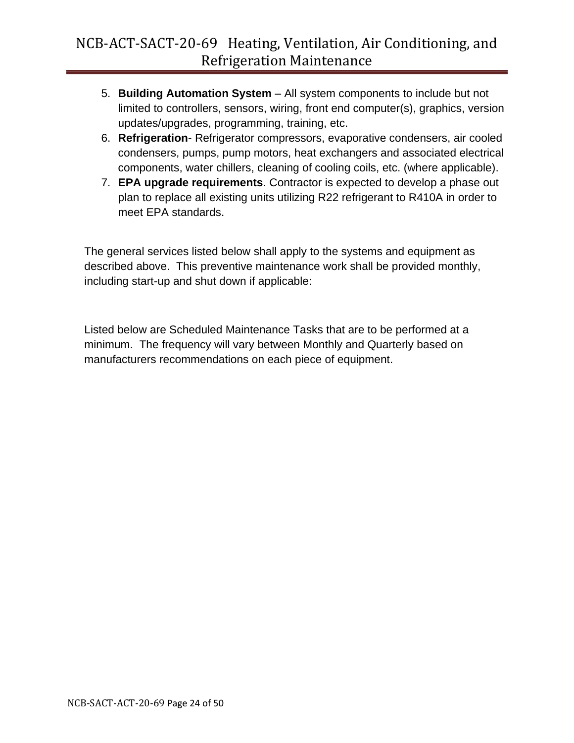- 5. **Building Automation System** All system components to include but not limited to controllers, sensors, wiring, front end computer(s), graphics, version updates/upgrades, programming, training, etc.
- 6. **Refrigeration** Refrigerator compressors, evaporative condensers, air cooled condensers, pumps, pump motors, heat exchangers and associated electrical components, water chillers, cleaning of cooling coils, etc. (where applicable).
- 7. **EPA upgrade requirements**. Contractor is expected to develop a phase out plan to replace all existing units utilizing R22 refrigerant to R410A in order to meet EPA standards.

The general services listed below shall apply to the systems and equipment as described above. This preventive maintenance work shall be provided monthly, including start-up and shut down if applicable:

Listed below are Scheduled Maintenance Tasks that are to be performed at a minimum. The frequency will vary between Monthly and Quarterly based on manufacturers recommendations on each piece of equipment.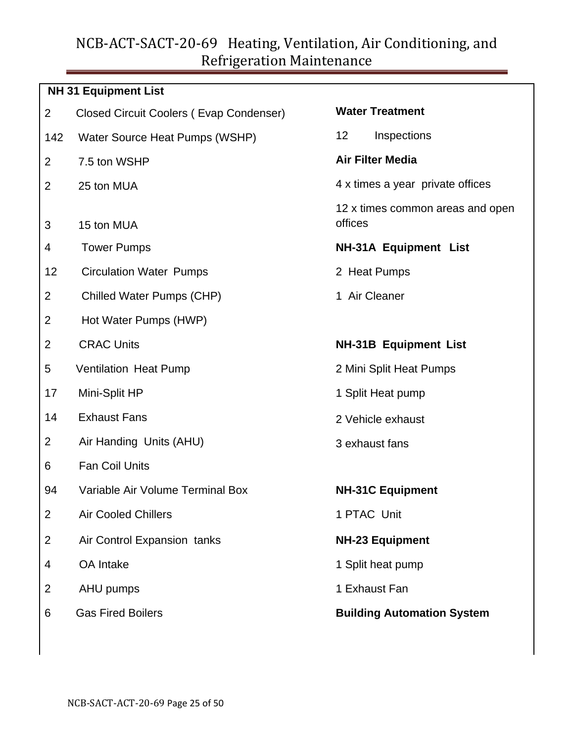### **NH 31 Equipment List**

- 2 Closed Circuit Coolers ( Evap Condenser)
- 142 Water Source Heat Pumps (WSHP)
- 2 7.5 ton WSHP
- $2<sup>25</sup>$  ton MUA
- 3 15 ton MUA
- 4 Tower Pumps
- 12 Circulation Water Pumps
- 2 Chilled Water Pumps (CHP)
- 2 Hot Water Pumps (HWP)
- 2 CRAC Units
- 5 Ventilation Heat Pump
- 17 Mini-Split HP
- 14 Exhaust Fans
- 2 Air Handing Units (AHU)
- 6 Fan Coil Units
- 94 Variable Air Volume Terminal Box
- 2 Air Cooled Chillers
- 2 Air Control Expansion tanks
- 4 OA Intake
- 2 AHU pumps
- 6 Gas Fired Boilers

| <b>Water Treatment</b>                      |
|---------------------------------------------|
| 12<br>Inspections                           |
| <b>Air Filter Media</b>                     |
| 4 x times a year private offices            |
| 12 x times common areas and open<br>offices |
| <b>NH-31A Equipment List</b>                |
| 2 Heat Pumps                                |
| 1 Air Cleaner                               |
|                                             |
| <b>NH-31B Equipment List</b>                |
| 2 Mini Split Heat Pumps                     |
| 1 Split Heat pump                           |
| 2 Vehicle exhaust                           |
| 3 exhaust fans                              |
|                                             |
| <b>NH-31C Equipment</b>                     |
| 1 PTAC Unit                                 |
| <b>NH-23 Equipment</b>                      |
| 1 Split heat pump                           |
| 1 Exhaust Fan                               |
| <b>Building Automation System</b>           |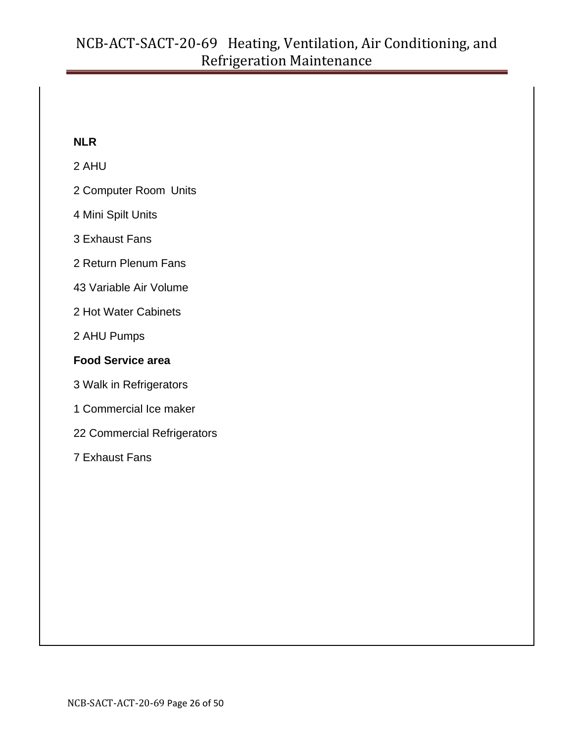### **NLR**

### 2 AHU

- 2 Computer Room Units
- 4 Mini Spilt Units
- 3 Exhaust Fans
- 2 Return Plenum Fans
- 43 Variable Air Volume
- 2 Hot Water Cabinets
- 2 AHU Pumps

### **Food Service area**

- 3 Walk in Refrigerators
- 1 Commercial Ice maker
- 22 Commercial Refrigerators
- 7 Exhaust Fans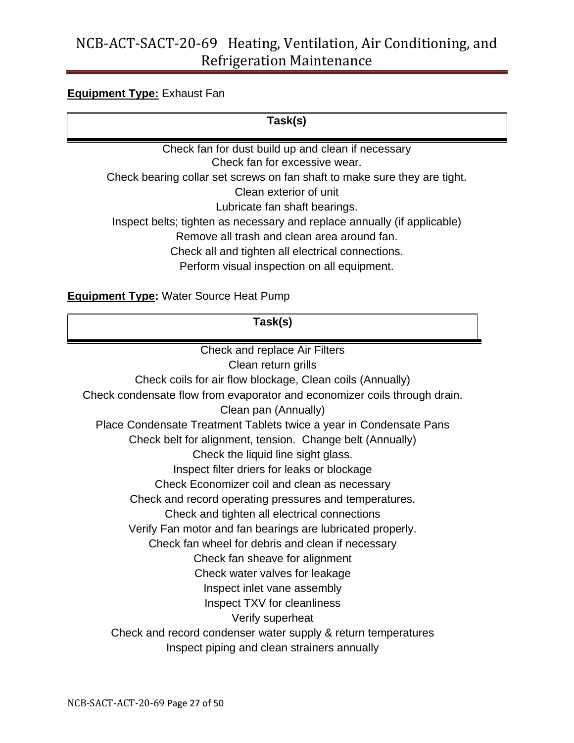#### **Equipment Type:** Exhaust Fan

**Task(s)**

Check fan for dust build up and clean if necessary Check fan for excessive wear. Check bearing collar set screws on fan shaft to make sure they are tight. Clean exterior of unit Lubricate fan shaft bearings. Inspect belts; tighten as necessary and replace annually (if applicable) Remove all trash and clean area around fan. Check all and tighten all electrical connections.

Perform visual inspection on all equipment.

**Equipment Type:** Water Source Heat Pump

**Task(s)**

Check and replace Air Filters Clean return grills Check coils for air flow blockage, Clean coils (Annually) Check condensate flow from evaporator and economizer coils through drain. Clean pan (Annually) Place Condensate Treatment Tablets twice a year in Condensate Pans Check belt for alignment, tension. Change belt (Annually) Check the liquid line sight glass. Inspect filter driers for leaks or blockage Check Economizer coil and clean as necessary Check and record operating pressures and temperatures. Check and tighten all electrical connections Verify Fan motor and fan bearings are lubricated properly. Check fan wheel for debris and clean if necessary Check fan sheave for alignment Check water valves for leakage Inspect inlet vane assembly Inspect TXV for cleanliness Verify superheat Check and record condenser water supply & return temperatures Inspect piping and clean strainers annually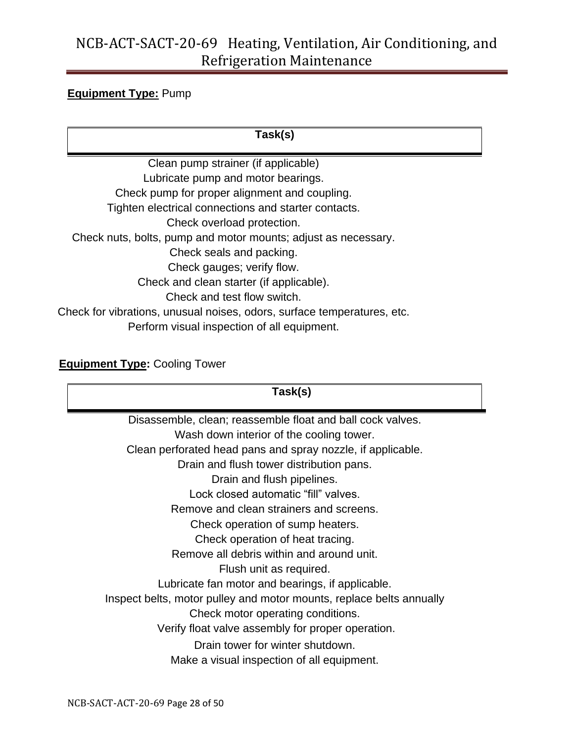### **Equipment Type:** Pump

**Task(s)**

Clean pump strainer (if applicable) Lubricate pump and motor bearings. Check pump for proper alignment and coupling. Tighten electrical connections and starter contacts. Check overload protection. Check nuts, bolts, pump and motor mounts; adjust as necessary. Check seals and packing. Check gauges; verify flow. Check and clean starter (if applicable). Check and test flow switch. Check for vibrations, unusual noises, odors, surface temperatures, etc. Perform visual inspection of all equipment.

### **Equipment Type: Cooling Tower**

| Task(s)                                                              |  |
|----------------------------------------------------------------------|--|
| Disassemble, clean; reassemble float and ball cock valves.           |  |
| Wash down interior of the cooling tower.                             |  |
| Clean perforated head pans and spray nozzle, if applicable.          |  |
| Drain and flush tower distribution pans.                             |  |
| Drain and flush pipelines.                                           |  |
| Lock closed automatic "fill" valves.                                 |  |
| Remove and clean strainers and screens.                              |  |
| Check operation of sump heaters.                                     |  |
| Check operation of heat tracing.                                     |  |
| Remove all debris within and around unit.                            |  |
| Flush unit as required.                                              |  |
| Lubricate fan motor and bearings, if applicable.                     |  |
| Inspect belts, motor pulley and motor mounts, replace belts annually |  |
| Check motor operating conditions.                                    |  |
| Verify float valve assembly for proper operation.                    |  |
| Drain tower for winter shutdown.                                     |  |
| Make a visual inspection of all equipment.                           |  |
|                                                                      |  |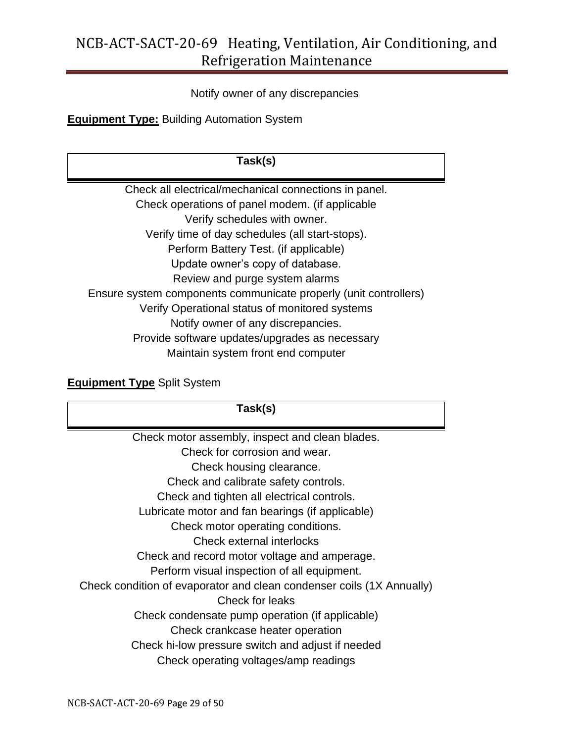#### Notify owner of any discrepancies

**Equipment Type:** Building Automation System

### **Task(s)**

Check all electrical/mechanical connections in panel. Check operations of panel modem. (if applicable Verify schedules with owner. Verify time of day schedules (all start-stops). Perform Battery Test. (if applicable) Update owner's copy of database. Review and purge system alarms Ensure system components communicate properly (unit controllers) Verify Operational status of monitored systems Notify owner of any discrepancies. Provide software updates/upgrades as necessary Maintain system front end computer

### **Equipment Type** Split System

| Task(s)                                                               |
|-----------------------------------------------------------------------|
| Check motor assembly, inspect and clean blades.                       |
| Check for corrosion and wear.                                         |
| Check housing clearance.                                              |
| Check and calibrate safety controls.                                  |
| Check and tighten all electrical controls.                            |
| Lubricate motor and fan bearings (if applicable)                      |
| Check motor operating conditions.                                     |
| Check external interlocks                                             |
| Check and record motor voltage and amperage.                          |
| Perform visual inspection of all equipment.                           |
| Check condition of evaporator and clean condenser coils (1X Annually) |
| Check for leaks                                                       |
| Check condensate pump operation (if applicable)                       |
| Check crankcase heater operation                                      |
| Check hi-low pressure switch and adjust if needed                     |
| Check operating voltages/amp readings                                 |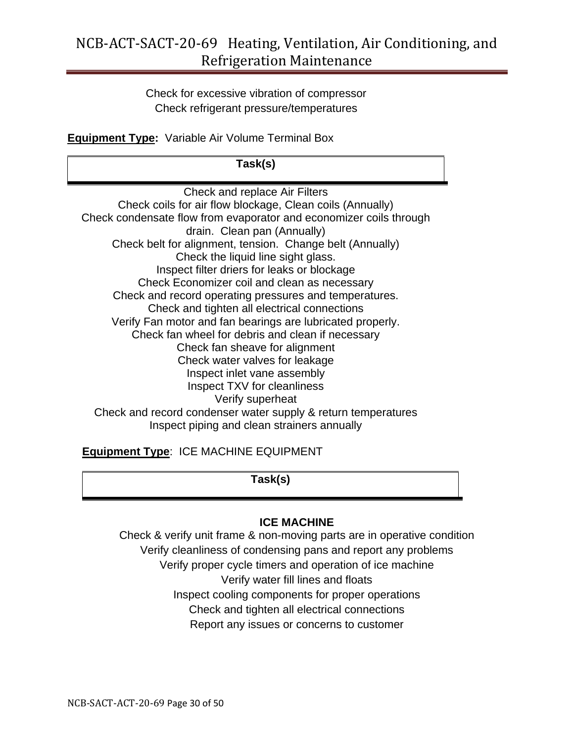Check for excessive vibration of compressor Check refrigerant pressure/temperatures

**Equipment Type:** Variable Air Volume Terminal Box

**Task(s)**

Check and replace Air Filters Check coils for air flow blockage, Clean coils (Annually) Check condensate flow from evaporator and economizer coils through drain. Clean pan (Annually) Check belt for alignment, tension. Change belt (Annually) Check the liquid line sight glass. Inspect filter driers for leaks or blockage Check Economizer coil and clean as necessary Check and record operating pressures and temperatures. Check and tighten all electrical connections Verify Fan motor and fan bearings are lubricated properly. Check fan wheel for debris and clean if necessary Check fan sheave for alignment Check water valves for leakage Inspect inlet vane assembly Inspect TXV for cleanliness Verify superheat Check and record condenser water supply & return temperatures Inspect piping and clean strainers annually

**Equipment Type**: ICE MACHINE EQUIPMENT

**Task(s)**

### **ICE MACHINE**

Check & verify unit frame & non-moving parts are in operative condition Verify cleanliness of condensing pans and report any problems Verify proper cycle timers and operation of ice machine Verify water fill lines and floats Inspect cooling components for proper operations Check and tighten all electrical connections Report any issues or concerns to customer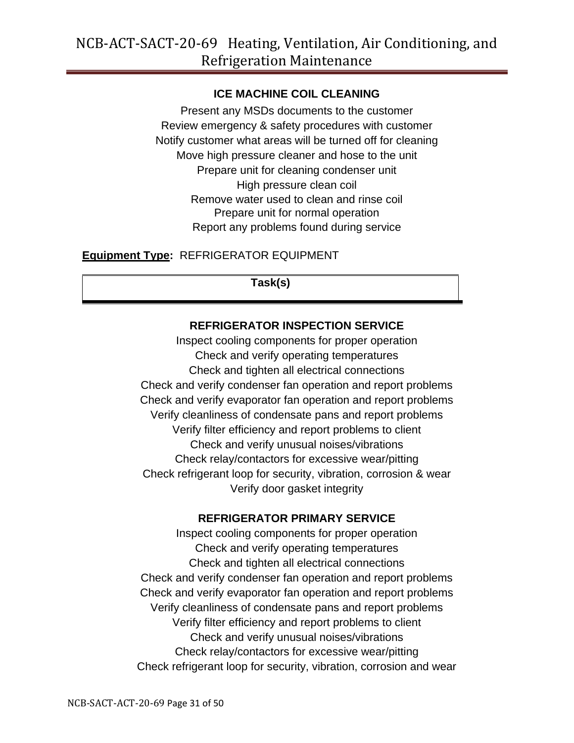### **ICE MACHINE COIL CLEANING**

Present any MSDs documents to the customer Review emergency & safety procedures with customer Notify customer what areas will be turned off for cleaning Move high pressure cleaner and hose to the unit Prepare unit for cleaning condenser unit High pressure clean coil Remove water used to clean and rinse coil Prepare unit for normal operation Report any problems found during service

### **Equipment Type:** REFRIGERATOR EQUIPMENT

**Task(s)**

### **REFRIGERATOR INSPECTION SERVICE**

Inspect cooling components for proper operation Check and verify operating temperatures Check and tighten all electrical connections Check and verify condenser fan operation and report problems Check and verify evaporator fan operation and report problems Verify cleanliness of condensate pans and report problems Verify filter efficiency and report problems to client Check and verify unusual noises/vibrations Check relay/contactors for excessive wear/pitting Check refrigerant loop for security, vibration, corrosion & wear Verify door gasket integrity

### **REFRIGERATOR PRIMARY SERVICE**

Inspect cooling components for proper operation Check and verify operating temperatures Check and tighten all electrical connections Check and verify condenser fan operation and report problems Check and verify evaporator fan operation and report problems Verify cleanliness of condensate pans and report problems Verify filter efficiency and report problems to client Check and verify unusual noises/vibrations Check relay/contactors for excessive wear/pitting Check refrigerant loop for security, vibration, corrosion and wear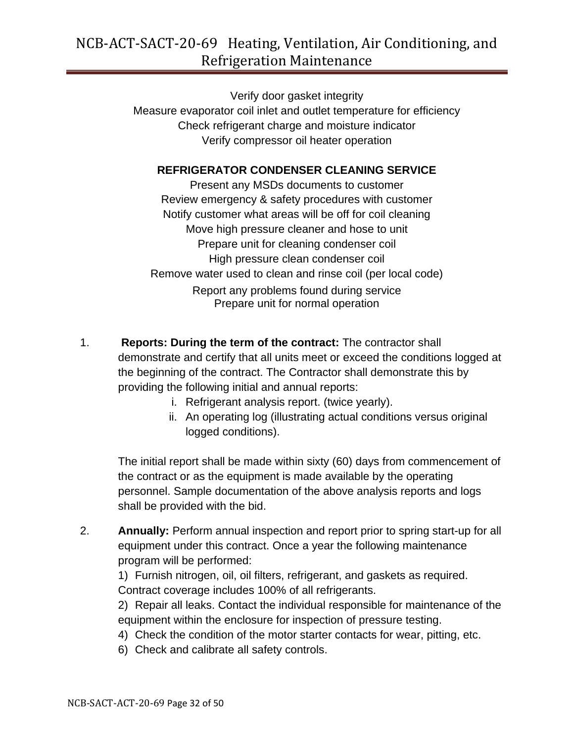Verify door gasket integrity Measure evaporator coil inlet and outlet temperature for efficiency Check refrigerant charge and moisture indicator Verify compressor oil heater operation

#### **REFRIGERATOR CONDENSER CLEANING SERVICE**

Present any MSDs documents to customer Review emergency & safety procedures with customer Notify customer what areas will be off for coil cleaning Move high pressure cleaner and hose to unit Prepare unit for cleaning condenser coil High pressure clean condenser coil Remove water used to clean and rinse coil (per local code) Report any problems found during service Prepare unit for normal operation

- 1. **Reports: During the term of the contract:** The contractor shall demonstrate and certify that all units meet or exceed the conditions logged at the beginning of the contract. The Contractor shall demonstrate this by providing the following initial and annual reports:
	- i. Refrigerant analysis report. (twice yearly).
	- ii. An operating log (illustrating actual conditions versus original logged conditions).

The initial report shall be made within sixty (60) days from commencement of the contract or as the equipment is made available by the operating personnel. Sample documentation of the above analysis reports and logs shall be provided with the bid.

2. **Annually:** Perform annual inspection and report prior to spring start-up for all equipment under this contract. Once a year the following maintenance program will be performed:

1) Furnish nitrogen, oil, oil filters, refrigerant, and gaskets as required. Contract coverage includes 100% of all refrigerants.

2) Repair all leaks. Contact the individual responsible for maintenance of the equipment within the enclosure for inspection of pressure testing.

- 4) Check the condition of the motor starter contacts for wear, pitting, etc.
- 6) Check and calibrate all safety controls.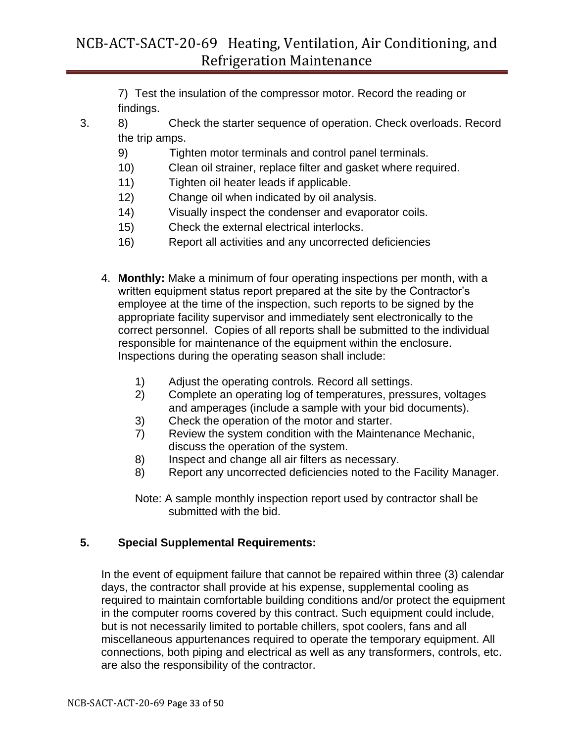7) Test the insulation of the compressor motor. Record the reading or findings.

- 3. 8) Check the starter sequence of operation. Check overloads. Record the trip amps.
	- 9) Tighten motor terminals and control panel terminals.
	- 10) Clean oil strainer, replace filter and gasket where required.
	- 11) Tighten oil heater leads if applicable.
	- 12) Change oil when indicated by oil analysis.
	- 14) Visually inspect the condenser and evaporator coils.
	- 15) Check the external electrical interlocks.
	- 16) Report all activities and any uncorrected deficiencies
	- 4. **Monthly:** Make a minimum of four operating inspections per month, with a written equipment status report prepared at the site by the Contractor's employee at the time of the inspection, such reports to be signed by the appropriate facility supervisor and immediately sent electronically to the correct personnel. Copies of all reports shall be submitted to the individual responsible for maintenance of the equipment within the enclosure. Inspections during the operating season shall include:
		- 1) Adjust the operating controls. Record all settings.
		- 2) Complete an operating log of temperatures, pressures, voltages and amperages (include a sample with your bid documents).
		- 3) Check the operation of the motor and starter.
		- 7) Review the system condition with the Maintenance Mechanic, discuss the operation of the system.
		- 8) Inspect and change all air filters as necessary.
		- 8) Report any uncorrected deficiencies noted to the Facility Manager.
		- Note: A sample monthly inspection report used by contractor shall be submitted with the bid.

### **5. Special Supplemental Requirements:**

In the event of equipment failure that cannot be repaired within three (3) calendar days, the contractor shall provide at his expense, supplemental cooling as required to maintain comfortable building conditions and/or protect the equipment in the computer rooms covered by this contract. Such equipment could include, but is not necessarily limited to portable chillers, spot coolers, fans and all miscellaneous appurtenances required to operate the temporary equipment. All connections, both piping and electrical as well as any transformers, controls, etc. are also the responsibility of the contractor.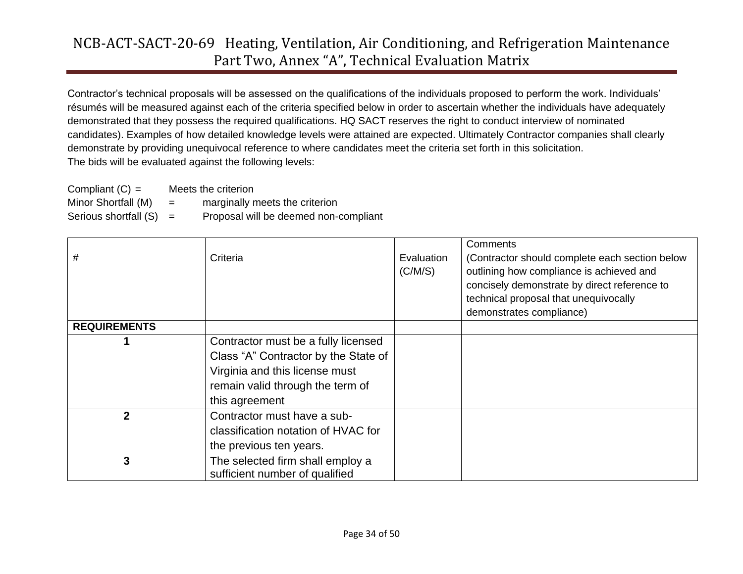Contractor's technical proposals will be assessed on the qualifications of the individuals proposed to perform the work. Individuals' résumés will be measured against each of the criteria specified below in order to ascertain whether the individuals have adequately demonstrated that they possess the required qualifications. HQ SACT reserves the right to conduct interview of nominated candidates). Examples of how detailed knowledge levels were attained are expected. Ultimately Contractor companies shall clearly demonstrate by providing unequivocal reference to where candidates meet the criteria set forth in this solicitation. The bids will be evaluated against the following levels:

| Compliant $(C) =$     |     | Meets the criterion                   |
|-----------------------|-----|---------------------------------------|
| Minor Shortfall (M)   | $=$ | marginally meets the criterion        |
| Serious shortfall (S) | $=$ | Proposal will be deemed non-compliant |

| #                   | Criteria                             | Evaluation<br>(C/M/S) | Comments<br>(Contractor should complete each section below<br>outlining how compliance is achieved and<br>concisely demonstrate by direct reference to<br>technical proposal that unequivocally |
|---------------------|--------------------------------------|-----------------------|-------------------------------------------------------------------------------------------------------------------------------------------------------------------------------------------------|
|                     |                                      |                       | demonstrates compliance)                                                                                                                                                                        |
| <b>REQUIREMENTS</b> |                                      |                       |                                                                                                                                                                                                 |
|                     | Contractor must be a fully licensed  |                       |                                                                                                                                                                                                 |
|                     | Class "A" Contractor by the State of |                       |                                                                                                                                                                                                 |
|                     | Virginia and this license must       |                       |                                                                                                                                                                                                 |
|                     | remain valid through the term of     |                       |                                                                                                                                                                                                 |
|                     | this agreement                       |                       |                                                                                                                                                                                                 |
| $\mathbf{2}$        | Contractor must have a sub-          |                       |                                                                                                                                                                                                 |
|                     | classification notation of HVAC for  |                       |                                                                                                                                                                                                 |
|                     | the previous ten years.              |                       |                                                                                                                                                                                                 |
| 3                   | The selected firm shall employ a     |                       |                                                                                                                                                                                                 |
|                     | sufficient number of qualified       |                       |                                                                                                                                                                                                 |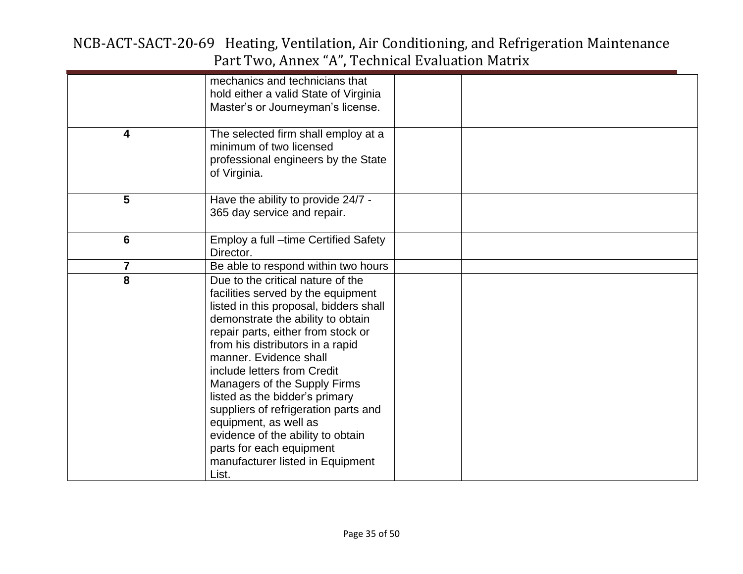|                         | mechanics and technicians that         |  |
|-------------------------|----------------------------------------|--|
|                         | hold either a valid State of Virginia  |  |
|                         | Master's or Journeyman's license.      |  |
|                         |                                        |  |
| 4                       | The selected firm shall employ at a    |  |
|                         | minimum of two licensed                |  |
|                         | professional engineers by the State    |  |
|                         | of Virginia.                           |  |
|                         |                                        |  |
| 5                       | Have the ability to provide 24/7 -     |  |
|                         | 365 day service and repair.            |  |
|                         |                                        |  |
| $6\phantom{1}6$         | Employ a full -time Certified Safety   |  |
|                         | Director.                              |  |
| $\overline{7}$          | Be able to respond within two hours    |  |
| $\overline{\mathbf{8}}$ | Due to the critical nature of the      |  |
|                         | facilities served by the equipment     |  |
|                         | listed in this proposal, bidders shall |  |
|                         | demonstrate the ability to obtain      |  |
|                         | repair parts, either from stock or     |  |
|                         | from his distributors in a rapid       |  |
|                         |                                        |  |
|                         | manner. Evidence shall                 |  |
|                         | include letters from Credit            |  |
|                         | Managers of the Supply Firms           |  |
|                         | listed as the bidder's primary         |  |
|                         | suppliers of refrigeration parts and   |  |
|                         | equipment, as well as                  |  |
|                         | evidence of the ability to obtain      |  |
|                         | parts for each equipment               |  |
|                         | manufacturer listed in Equipment       |  |
|                         | List.                                  |  |
|                         |                                        |  |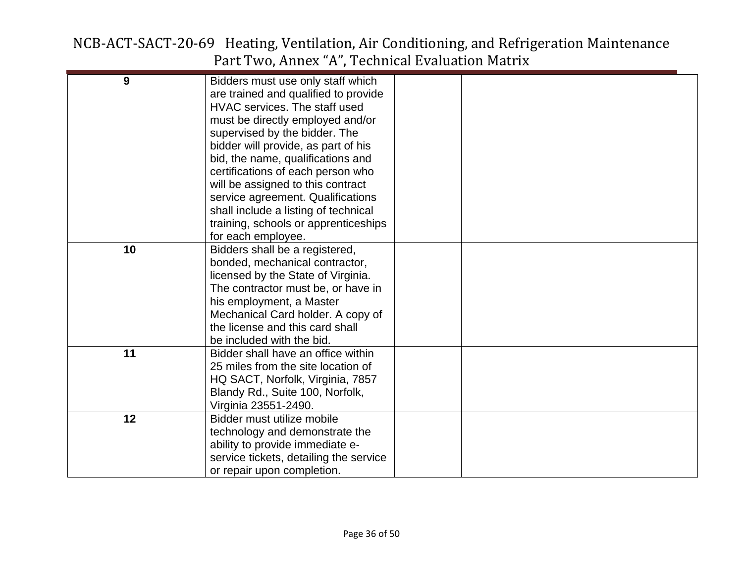| 9  | Bidders must use only staff which      |  |
|----|----------------------------------------|--|
|    | are trained and qualified to provide   |  |
|    | HVAC services. The staff used          |  |
|    | must be directly employed and/or       |  |
|    | supervised by the bidder. The          |  |
|    | bidder will provide, as part of his    |  |
|    | bid, the name, qualifications and      |  |
|    | certifications of each person who      |  |
|    | will be assigned to this contract      |  |
|    | service agreement. Qualifications      |  |
|    | shall include a listing of technical   |  |
|    | training, schools or apprenticeships   |  |
|    | for each employee.                     |  |
| 10 | Bidders shall be a registered,         |  |
|    | bonded, mechanical contractor,         |  |
|    | licensed by the State of Virginia.     |  |
|    | The contractor must be, or have in     |  |
|    | his employment, a Master               |  |
|    | Mechanical Card holder. A copy of      |  |
|    | the license and this card shall        |  |
|    | be included with the bid.              |  |
| 11 | Bidder shall have an office within     |  |
|    | 25 miles from the site location of     |  |
|    | HQ SACT, Norfolk, Virginia, 7857       |  |
|    | Blandy Rd., Suite 100, Norfolk,        |  |
|    | Virginia 23551-2490.                   |  |
| 12 | Bidder must utilize mobile             |  |
|    | technology and demonstrate the         |  |
|    | ability to provide immediate e-        |  |
|    | service tickets, detailing the service |  |
|    | or repair upon completion.             |  |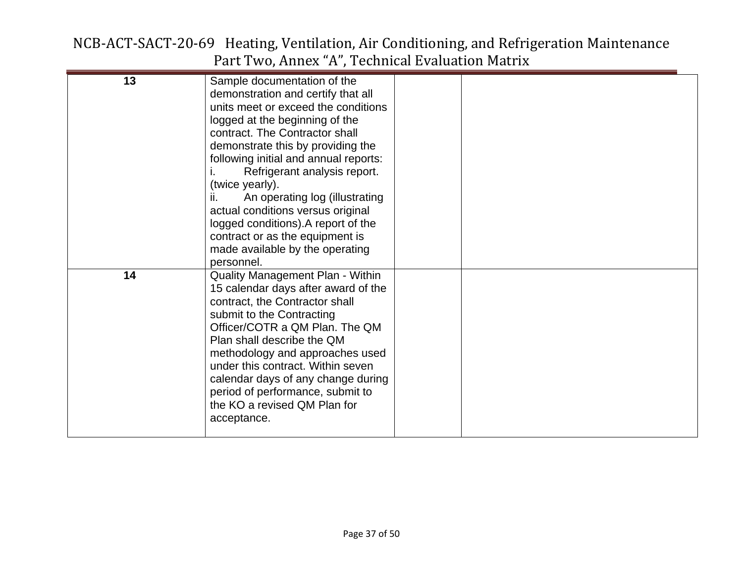| 13 | Sample documentation of the             |  |
|----|-----------------------------------------|--|
|    | demonstration and certify that all      |  |
|    | units meet or exceed the conditions     |  |
|    | logged at the beginning of the          |  |
|    | contract. The Contractor shall          |  |
|    | demonstrate this by providing the       |  |
|    | following initial and annual reports:   |  |
|    |                                         |  |
|    | Refrigerant analysis report.            |  |
|    | (twice yearly).                         |  |
|    | ii.<br>An operating log (illustrating   |  |
|    | actual conditions versus original       |  |
|    | logged conditions). A report of the     |  |
|    | contract or as the equipment is         |  |
|    | made available by the operating         |  |
|    | personnel.                              |  |
| 14 | <b>Quality Management Plan - Within</b> |  |
|    | 15 calendar days after award of the     |  |
|    | contract, the Contractor shall          |  |
|    | submit to the Contracting               |  |
|    | Officer/COTR a QM Plan. The QM          |  |
|    | Plan shall describe the QM              |  |
|    | methodology and approaches used         |  |
|    | under this contract. Within seven       |  |
|    | calendar days of any change during      |  |
|    | period of performance, submit to        |  |
|    | the KO a revised QM Plan for            |  |
|    | acceptance.                             |  |
|    |                                         |  |
|    |                                         |  |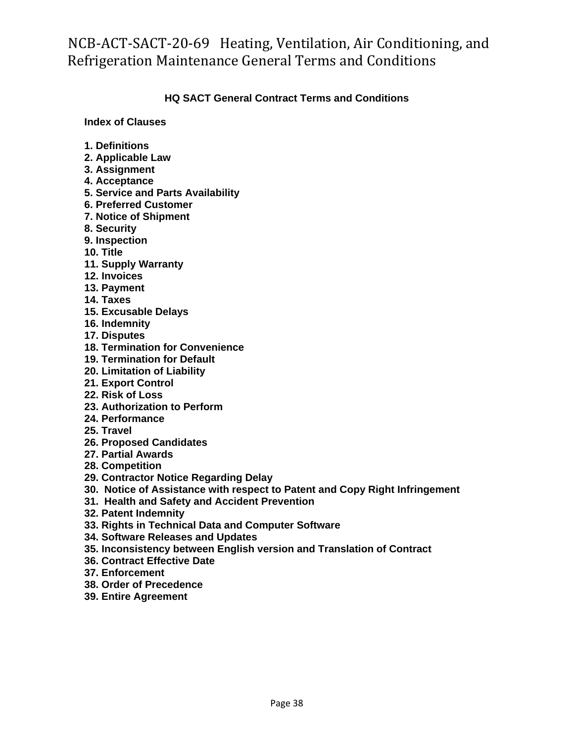#### **HQ SACT General Contract Terms and Conditions**

**Index of Clauses**

- **1. Definitions**
- **2. Applicable Law**
- **3. Assignment**
- **4. Acceptance**
- **5. Service and Parts Availability**
- **6. Preferred Customer**
- **7. Notice of Shipment**
- **8. Security**
- **9. Inspection**
- **10. Title**
- **11. Supply Warranty**
- **12. Invoices**
- **13. Payment**
- **14. Taxes**
- **15. Excusable Delays**
- **16. Indemnity**
- **17. Disputes**
- **18. Termination for Convenience**
- **19. Termination for Default**
- **20. Limitation of Liability**
- **21. Export Control**
- **22. Risk of Loss**
- **23. Authorization to Perform**
- **24. Performance**
- **25. Travel**
- **26. Proposed Candidates**
- **27. Partial Awards**
- **28. Competition**
- **29. Contractor Notice Regarding Delay**
- **30. Notice of Assistance with respect to Patent and Copy Right Infringement**
- **31. Health and Safety and Accident Prevention**
- **32. Patent Indemnity**
- **33. Rights in Technical Data and Computer Software**
- **34. Software Releases and Updates**
- **35. Inconsistency between English version and Translation of Contract**
- **36. Contract Effective Date**
- **37. Enforcement**
- **38. Order of Precedence**
- **39. Entire Agreement**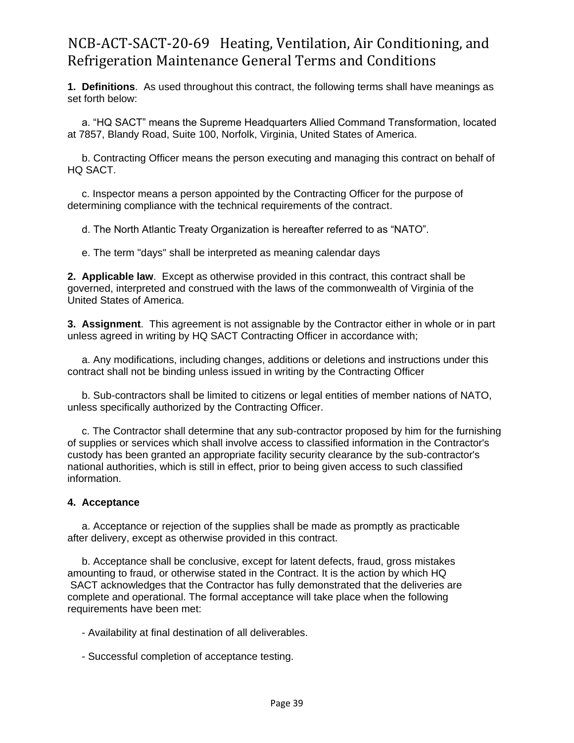**1. Definitions**. As used throughout this contract, the following terms shall have meanings as set forth below:

 a. "HQ SACT" means the Supreme Headquarters Allied Command Transformation, located at 7857, Blandy Road, Suite 100, Norfolk, Virginia, United States of America.

 b. Contracting Officer means the person executing and managing this contract on behalf of HQ SACT.

 c. Inspector means a person appointed by the Contracting Officer for the purpose of determining compliance with the technical requirements of the contract.

d. The North Atlantic Treaty Organization is hereafter referred to as "NATO".

e. The term "days" shall be interpreted as meaning calendar days

**2. Applicable law**. Except as otherwise provided in this contract, this contract shall be governed, interpreted and construed with the laws of the commonwealth of Virginia of the United States of America.

**3. Assignment**. This agreement is not assignable by the Contractor either in whole or in part unless agreed in writing by HQ SACT Contracting Officer in accordance with;

 a. Any modifications, including changes, additions or deletions and instructions under this contract shall not be binding unless issued in writing by the Contracting Officer

 b. Sub-contractors shall be limited to citizens or legal entities of member nations of NATO, unless specifically authorized by the Contracting Officer.

 c. The Contractor shall determine that any sub-contractor proposed by him for the furnishing of supplies or services which shall involve access to classified information in the Contractor's custody has been granted an appropriate facility security clearance by the sub-contractor's national authorities, which is still in effect, prior to being given access to such classified information.

#### **4. Acceptance**

 a. Acceptance or rejection of the supplies shall be made as promptly as practicable after delivery, except as otherwise provided in this contract.

 b. Acceptance shall be conclusive, except for latent defects, fraud, gross mistakes amounting to fraud, or otherwise stated in the Contract. It is the action by which HQ SACT acknowledges that the Contractor has fully demonstrated that the deliveries are complete and operational. The formal acceptance will take place when the following requirements have been met:

- Availability at final destination of all deliverables.

- Successful completion of acceptance testing.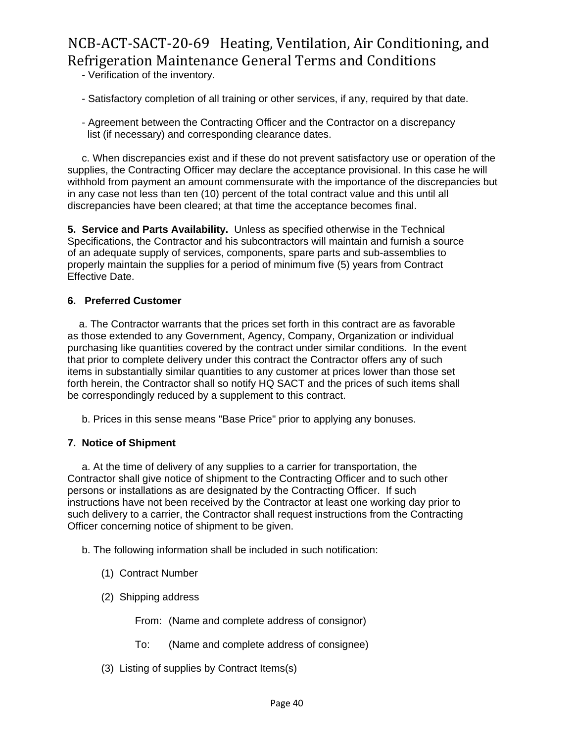- Verification of the inventory.

- Satisfactory completion of all training or other services, if any, required by that date.

 - Agreement between the Contracting Officer and the Contractor on a discrepancy list (if necessary) and corresponding clearance dates.

 c. When discrepancies exist and if these do not prevent satisfactory use or operation of the supplies, the Contracting Officer may declare the acceptance provisional. In this case he will withhold from payment an amount commensurate with the importance of the discrepancies but in any case not less than ten (10) percent of the total contract value and this until all discrepancies have been cleared; at that time the acceptance becomes final.

**5. Service and Parts Availability.** Unless as specified otherwise in the Technical Specifications, the Contractor and his subcontractors will maintain and furnish a source of an adequate supply of services, components, spare parts and sub-assemblies to properly maintain the supplies for a period of minimum five (5) years from Contract Effective Date.

#### **6. Preferred Customer**

 a. The Contractor warrants that the prices set forth in this contract are as favorable as those extended to any Government, Agency, Company, Organization or individual purchasing like quantities covered by the contract under similar conditions. In the event that prior to complete delivery under this contract the Contractor offers any of such items in substantially similar quantities to any customer at prices lower than those set forth herein, the Contractor shall so notify HQ SACT and the prices of such items shall be correspondingly reduced by a supplement to this contract.

b. Prices in this sense means "Base Price" prior to applying any bonuses.

#### **7. Notice of Shipment**

 a. At the time of delivery of any supplies to a carrier for transportation, the Contractor shall give notice of shipment to the Contracting Officer and to such other persons or installations as are designated by the Contracting Officer. If such instructions have not been received by the Contractor at least one working day prior to such delivery to a carrier, the Contractor shall request instructions from the Contracting Officer concerning notice of shipment to be given.

b. The following information shall be included in such notification:

- (1) Contract Number
- (2) Shipping address
	- From: (Name and complete address of consignor)
	- To: (Name and complete address of consignee)
- (3) Listing of supplies by Contract Items(s)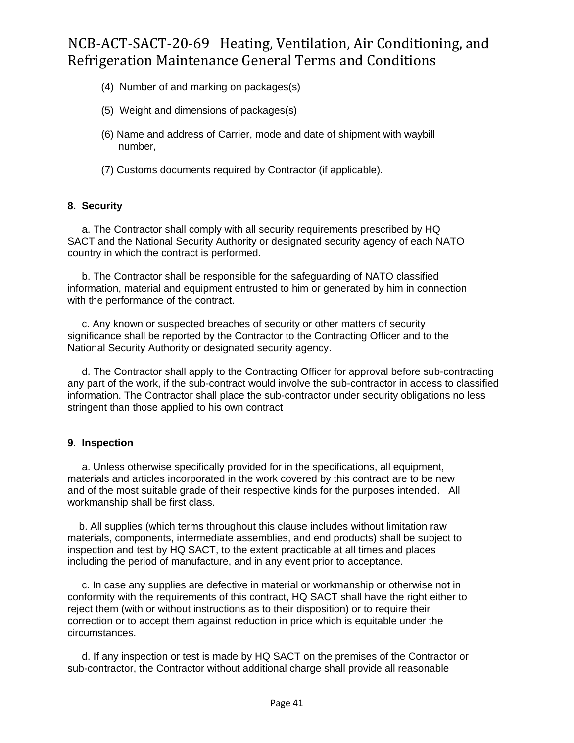- (4) Number of and marking on packages(s)
- (5) Weight and dimensions of packages(s)
- (6) Name and address of Carrier, mode and date of shipment with waybill number,
- (7) Customs documents required by Contractor (if applicable).

#### **8. Security**

 a. The Contractor shall comply with all security requirements prescribed by HQ SACT and the National Security Authority or designated security agency of each NATO country in which the contract is performed.

 b. The Contractor shall be responsible for the safeguarding of NATO classified information, material and equipment entrusted to him or generated by him in connection with the performance of the contract.

 c. Any known or suspected breaches of security or other matters of security significance shall be reported by the Contractor to the Contracting Officer and to the National Security Authority or designated security agency.

 d. The Contractor shall apply to the Contracting Officer for approval before sub-contracting any part of the work, if the sub-contract would involve the sub-contractor in access to classified information. The Contractor shall place the sub-contractor under security obligations no less stringent than those applied to his own contract

#### **9**. **Inspection**

 a. Unless otherwise specifically provided for in the specifications, all equipment, materials and articles incorporated in the work covered by this contract are to be new and of the most suitable grade of their respective kinds for the purposes intended. All workmanship shall be first class.

 b. All supplies (which terms throughout this clause includes without limitation raw materials, components, intermediate assemblies, and end products) shall be subject to inspection and test by HQ SACT, to the extent practicable at all times and places including the period of manufacture, and in any event prior to acceptance.

 c. In case any supplies are defective in material or workmanship or otherwise not in conformity with the requirements of this contract, HQ SACT shall have the right either to reject them (with or without instructions as to their disposition) or to require their correction or to accept them against reduction in price which is equitable under the circumstances.

 d. If any inspection or test is made by HQ SACT on the premises of the Contractor or sub-contractor, the Contractor without additional charge shall provide all reasonable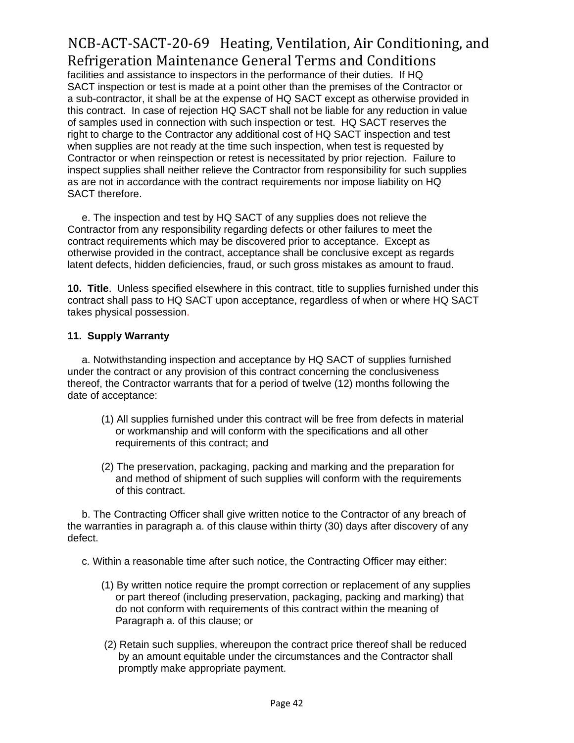facilities and assistance to inspectors in the performance of their duties. If HQ SACT inspection or test is made at a point other than the premises of the Contractor or a sub-contractor, it shall be at the expense of HQ SACT except as otherwise provided in this contract. In case of rejection HQ SACT shall not be liable for any reduction in value of samples used in connection with such inspection or test. HQ SACT reserves the right to charge to the Contractor any additional cost of HQ SACT inspection and test when supplies are not ready at the time such inspection, when test is requested by Contractor or when reinspection or retest is necessitated by prior rejection. Failure to inspect supplies shall neither relieve the Contractor from responsibility for such supplies as are not in accordance with the contract requirements nor impose liability on HQ SACT therefore.

 e. The inspection and test by HQ SACT of any supplies does not relieve the Contractor from any responsibility regarding defects or other failures to meet the contract requirements which may be discovered prior to acceptance. Except as otherwise provided in the contract, acceptance shall be conclusive except as regards latent defects, hidden deficiencies, fraud, or such gross mistakes as amount to fraud.

**10. Title**. Unless specified elsewhere in this contract, title to supplies furnished under this contract shall pass to HQ SACT upon acceptance, regardless of when or where HQ SACT takes physical possession.

#### **11. Supply Warranty**

 a. Notwithstanding inspection and acceptance by HQ SACT of supplies furnished under the contract or any provision of this contract concerning the conclusiveness thereof, the Contractor warrants that for a period of twelve (12) months following the date of acceptance:

- (1) All supplies furnished under this contract will be free from defects in material or workmanship and will conform with the specifications and all other requirements of this contract; and
- (2) The preservation, packaging, packing and marking and the preparation for and method of shipment of such supplies will conform with the requirements of this contract.

 b. The Contracting Officer shall give written notice to the Contractor of any breach of the warranties in paragraph a. of this clause within thirty (30) days after discovery of any defect.

c. Within a reasonable time after such notice, the Contracting Officer may either:

- (1) By written notice require the prompt correction or replacement of any supplies or part thereof (including preservation, packaging, packing and marking) that do not conform with requirements of this contract within the meaning of Paragraph a. of this clause; or
- (2) Retain such supplies, whereupon the contract price thereof shall be reduced by an amount equitable under the circumstances and the Contractor shall promptly make appropriate payment.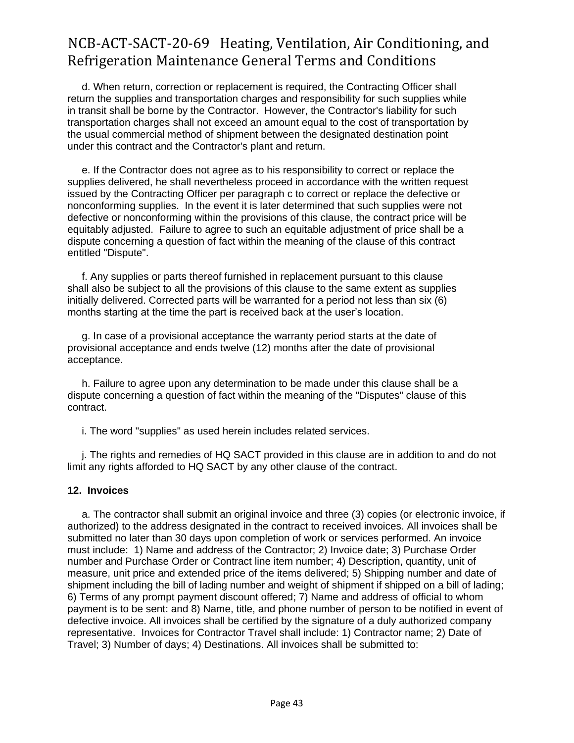d. When return, correction or replacement is required, the Contracting Officer shall return the supplies and transportation charges and responsibility for such supplies while in transit shall be borne by the Contractor. However, the Contractor's liability for such transportation charges shall not exceed an amount equal to the cost of transportation by the usual commercial method of shipment between the designated destination point under this contract and the Contractor's plant and return.

 e. If the Contractor does not agree as to his responsibility to correct or replace the supplies delivered, he shall nevertheless proceed in accordance with the written request issued by the Contracting Officer per paragraph c to correct or replace the defective or nonconforming supplies. In the event it is later determined that such supplies were not defective or nonconforming within the provisions of this clause, the contract price will be equitably adjusted. Failure to agree to such an equitable adjustment of price shall be a dispute concerning a question of fact within the meaning of the clause of this contract entitled "Dispute".

 f. Any supplies or parts thereof furnished in replacement pursuant to this clause shall also be subject to all the provisions of this clause to the same extent as supplies initially delivered. Corrected parts will be warranted for a period not less than six (6) months starting at the time the part is received back at the user's location.

 g. In case of a provisional acceptance the warranty period starts at the date of provisional acceptance and ends twelve (12) months after the date of provisional acceptance.

 h. Failure to agree upon any determination to be made under this clause shall be a dispute concerning a question of fact within the meaning of the "Disputes" clause of this contract.

i. The word "supplies" as used herein includes related services.

 j. The rights and remedies of HQ SACT provided in this clause are in addition to and do not limit any rights afforded to HQ SACT by any other clause of the contract.

#### **12. Invoices**

 a. The contractor shall submit an original invoice and three (3) copies (or electronic invoice, if authorized) to the address designated in the contract to received invoices. All invoices shall be submitted no later than 30 days upon completion of work or services performed. An invoice must include: 1) Name and address of the Contractor; 2) Invoice date; 3) Purchase Order number and Purchase Order or Contract line item number; 4) Description, quantity, unit of measure, unit price and extended price of the items delivered; 5) Shipping number and date of shipment including the bill of lading number and weight of shipment if shipped on a bill of lading; 6) Terms of any prompt payment discount offered; 7) Name and address of official to whom payment is to be sent: and 8) Name, title, and phone number of person to be notified in event of defective invoice. All invoices shall be certified by the signature of a duly authorized company representative. Invoices for Contractor Travel shall include: 1) Contractor name; 2) Date of Travel; 3) Number of days; 4) Destinations. All invoices shall be submitted to: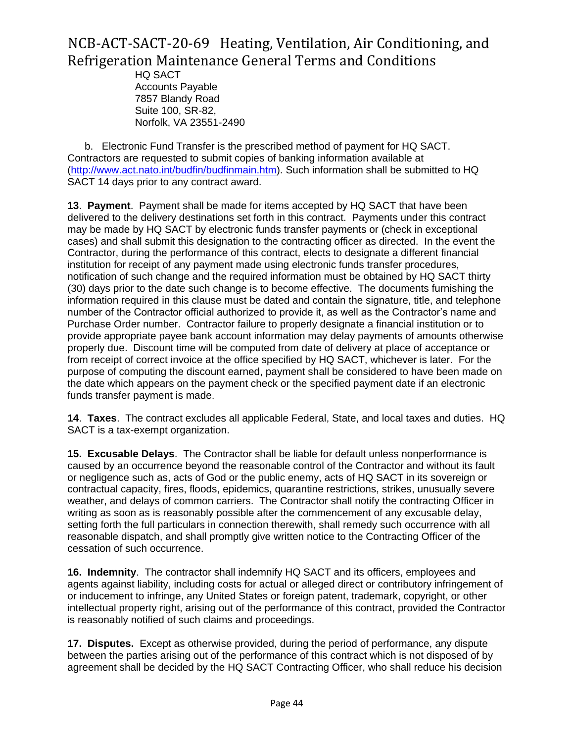HQ SACT Accounts Payable 7857 Blandy Road Suite 100, SR-82, Norfolk, VA 23551-2490

 b. Electronic Fund Transfer is the prescribed method of payment for HQ SACT. Contractors are requested to submit copies of banking information available at [\(http://www.act.nato.int/budfin/budfinmain.htm\)](http://www.act.nato.int/budfin/budfinmain.htm). Such information shall be submitted to HQ SACT 14 days prior to any contract award.

**13**. **Payment**. Payment shall be made for items accepted by HQ SACT that have been delivered to the delivery destinations set forth in this contract. Payments under this contract may be made by HQ SACT by electronic funds transfer payments or (check in exceptional cases) and shall submit this designation to the contracting officer as directed. In the event the Contractor, during the performance of this contract, elects to designate a different financial institution for receipt of any payment made using electronic funds transfer procedures, notification of such change and the required information must be obtained by HQ SACT thirty (30) days prior to the date such change is to become effective. The documents furnishing the information required in this clause must be dated and contain the signature, title, and telephone number of the Contractor official authorized to provide it, as well as the Contractor's name and Purchase Order number. Contractor failure to properly designate a financial institution or to provide appropriate payee bank account information may delay payments of amounts otherwise properly due. Discount time will be computed from date of delivery at place of acceptance or from receipt of correct invoice at the office specified by HQ SACT, whichever is later. For the purpose of computing the discount earned, payment shall be considered to have been made on the date which appears on the payment check or the specified payment date if an electronic funds transfer payment is made.

**14**. **Taxes**. The contract excludes all applicable Federal, State, and local taxes and duties. HQ SACT is a tax-exempt organization.

**15. Excusable Delays**. The Contractor shall be liable for default unless nonperformance is caused by an occurrence beyond the reasonable control of the Contractor and without its fault or negligence such as, acts of God or the public enemy, acts of HQ SACT in its sovereign or contractual capacity, fires, floods, epidemics, quarantine restrictions, strikes, unusually severe weather, and delays of common carriers. The Contractor shall notify the contracting Officer in writing as soon as is reasonably possible after the commencement of any excusable delay, setting forth the full particulars in connection therewith, shall remedy such occurrence with all reasonable dispatch, and shall promptly give written notice to the Contracting Officer of the cessation of such occurrence.

**16. Indemnity**. The contractor shall indemnify HQ SACT and its officers, employees and agents against liability, including costs for actual or alleged direct or contributory infringement of or inducement to infringe, any United States or foreign patent, trademark, copyright, or other intellectual property right, arising out of the performance of this contract, provided the Contractor is reasonably notified of such claims and proceedings.

**17. Disputes.** Except as otherwise provided, during the period of performance, any dispute between the parties arising out of the performance of this contract which is not disposed of by agreement shall be decided by the HQ SACT Contracting Officer, who shall reduce his decision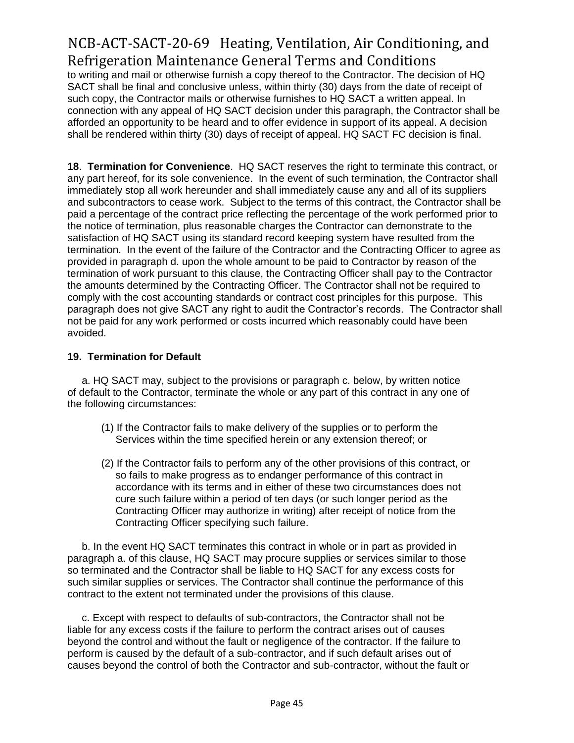to writing and mail or otherwise furnish a copy thereof to the Contractor. The decision of HQ SACT shall be final and conclusive unless, within thirty (30) days from the date of receipt of such copy, the Contractor mails or otherwise furnishes to HQ SACT a written appeal. In connection with any appeal of HQ SACT decision under this paragraph, the Contractor shall be afforded an opportunity to be heard and to offer evidence in support of its appeal. A decision shall be rendered within thirty (30) days of receipt of appeal. HQ SACT FC decision is final.

**18**. **Termination for Convenience**. HQ SACT reserves the right to terminate this contract, or any part hereof, for its sole convenience. In the event of such termination, the Contractor shall immediately stop all work hereunder and shall immediately cause any and all of its suppliers and subcontractors to cease work. Subject to the terms of this contract, the Contractor shall be paid a percentage of the contract price reflecting the percentage of the work performed prior to the notice of termination, plus reasonable charges the Contractor can demonstrate to the satisfaction of HQ SACT using its standard record keeping system have resulted from the termination. In the event of the failure of the Contractor and the Contracting Officer to agree as provided in paragraph d. upon the whole amount to be paid to Contractor by reason of the termination of work pursuant to this clause, the Contracting Officer shall pay to the Contractor the amounts determined by the Contracting Officer. The Contractor shall not be required to comply with the cost accounting standards or contract cost principles for this purpose. This paragraph does not give SACT any right to audit the Contractor's records. The Contractor shall not be paid for any work performed or costs incurred which reasonably could have been avoided.

#### **19. Termination for Default**

 a. HQ SACT may, subject to the provisions or paragraph c. below, by written notice of default to the Contractor, terminate the whole or any part of this contract in any one of the following circumstances:

- (1) If the Contractor fails to make delivery of the supplies or to perform the Services within the time specified herein or any extension thereof; or
- (2) If the Contractor fails to perform any of the other provisions of this contract, or so fails to make progress as to endanger performance of this contract in accordance with its terms and in either of these two circumstances does not cure such failure within a period of ten days (or such longer period as the Contracting Officer may authorize in writing) after receipt of notice from the Contracting Officer specifying such failure.

 b. In the event HQ SACT terminates this contract in whole or in part as provided in paragraph a. of this clause, HQ SACT may procure supplies or services similar to those so terminated and the Contractor shall be liable to HQ SACT for any excess costs for such similar supplies or services. The Contractor shall continue the performance of this contract to the extent not terminated under the provisions of this clause.

 c. Except with respect to defaults of sub-contractors, the Contractor shall not be liable for any excess costs if the failure to perform the contract arises out of causes beyond the control and without the fault or negligence of the contractor. If the failure to perform is caused by the default of a sub-contractor, and if such default arises out of causes beyond the control of both the Contractor and sub-contractor, without the fault or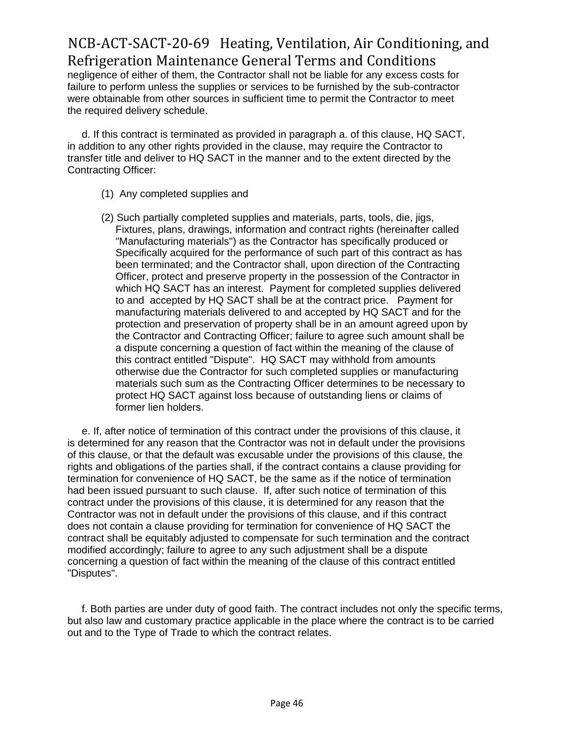negligence of either of them, the Contractor shall not be liable for any excess costs for failure to perform unless the supplies or services to be furnished by the sub-contractor were obtainable from other sources in sufficient time to permit the Contractor to meet the required delivery schedule.

 d. If this contract is terminated as provided in paragraph a. of this clause, HQ SACT, in addition to any other rights provided in the clause, may require the Contractor to transfer title and deliver to HQ SACT in the manner and to the extent directed by the Contracting Officer:

- (1) Any completed supplies and
- (2) Such partially completed supplies and materials, parts, tools, die, jigs, Fixtures, plans, drawings, information and contract rights (hereinafter called "Manufacturing materials") as the Contractor has specifically produced or Specifically acquired for the performance of such part of this contract as has been terminated; and the Contractor shall, upon direction of the Contracting Officer, protect and preserve property in the possession of the Contractor in which HQ SACT has an interest. Payment for completed supplies delivered to and accepted by HQ SACT shall be at the contract price. Payment for manufacturing materials delivered to and accepted by HQ SACT and for the protection and preservation of property shall be in an amount agreed upon by the Contractor and Contracting Officer; failure to agree such amount shall be a dispute concerning a question of fact within the meaning of the clause of this contract entitled "Dispute". HQ SACT may withhold from amounts otherwise due the Contractor for such completed supplies or manufacturing materials such sum as the Contracting Officer determines to be necessary to protect HQ SACT against loss because of outstanding liens or claims of former lien holders.

 e. If, after notice of termination of this contract under the provisions of this clause, it is determined for any reason that the Contractor was not in default under the provisions of this clause, or that the default was excusable under the provisions of this clause, the rights and obligations of the parties shall, if the contract contains a clause providing for termination for convenience of HQ SACT, be the same as if the notice of termination had been issued pursuant to such clause. If, after such notice of termination of this contract under the provisions of this clause, it is determined for any reason that the Contractor was not in default under the provisions of this clause, and if this contract does not contain a clause providing for termination for convenience of HQ SACT the contract shall be equitably adjusted to compensate for such termination and the contract modified accordingly; failure to agree to any such adjustment shall be a dispute concerning a question of fact within the meaning of the clause of this contract entitled "Disputes".

 f. Both parties are under duty of good faith. The contract includes not only the specific terms, but also law and customary practice applicable in the place where the contract is to be carried out and to the Type of Trade to which the contract relates.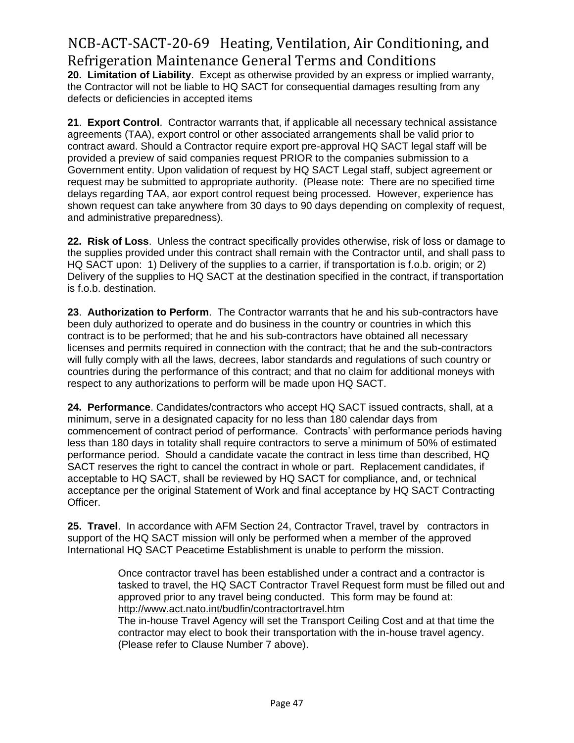**20. Limitation of Liability**. Except as otherwise provided by an express or implied warranty, the Contractor will not be liable to HQ SACT for consequential damages resulting from any defects or deficiencies in accepted items

**21**. **Export Control**. Contractor warrants that, if applicable all necessary technical assistance agreements (TAA), export control or other associated arrangements shall be valid prior to contract award. Should a Contractor require export pre-approval HQ SACT legal staff will be provided a preview of said companies request PRIOR to the companies submission to a Government entity. Upon validation of request by HQ SACT Legal staff, subject agreement or request may be submitted to appropriate authority. (Please note: There are no specified time delays regarding TAA, aor export control request being processed. However, experience has shown request can take anywhere from 30 days to 90 days depending on complexity of request, and administrative preparedness).

**22. Risk of Loss**. Unless the contract specifically provides otherwise, risk of loss or damage to the supplies provided under this contract shall remain with the Contractor until, and shall pass to HQ SACT upon: 1) Delivery of the supplies to a carrier, if transportation is f.o.b. origin; or 2) Delivery of the supplies to HQ SACT at the destination specified in the contract, if transportation is f.o.b. destination.

**23**. **Authorization to Perform**. The Contractor warrants that he and his sub-contractors have been duly authorized to operate and do business in the country or countries in which this contract is to be performed; that he and his sub-contractors have obtained all necessary licenses and permits required in connection with the contract; that he and the sub-contractors will fully comply with all the laws, decrees, labor standards and regulations of such country or countries during the performance of this contract; and that no claim for additional moneys with respect to any authorizations to perform will be made upon HQ SACT.

**24. Performance**. Candidates/contractors who accept HQ SACT issued contracts, shall, at a minimum, serve in a designated capacity for no less than 180 calendar days from commencement of contract period of performance. Contracts' with performance periods having less than 180 days in totality shall require contractors to serve a minimum of 50% of estimated performance period. Should a candidate vacate the contract in less time than described, HQ SACT reserves the right to cancel the contract in whole or part. Replacement candidates, if acceptable to HQ SACT, shall be reviewed by HQ SACT for compliance, and, or technical acceptance per the original Statement of Work and final acceptance by HQ SACT Contracting Officer.

**25. Travel**. In accordance with AFM Section 24, Contractor Travel, travel by contractors in support of the HQ SACT mission will only be performed when a member of the approved International HQ SACT Peacetime Establishment is unable to perform the mission.

> Once contractor travel has been established under a contract and a contractor is tasked to travel, the HQ SACT Contractor Travel Request form must be filled out and approved prior to any travel being conducted. This form may be found at: <http://www.act.nato.int/budfin/contractortravel.htm>

The in-house Travel Agency will set the Transport Ceiling Cost and at that time the contractor may elect to book their transportation with the in-house travel agency. (Please refer to Clause Number 7 above).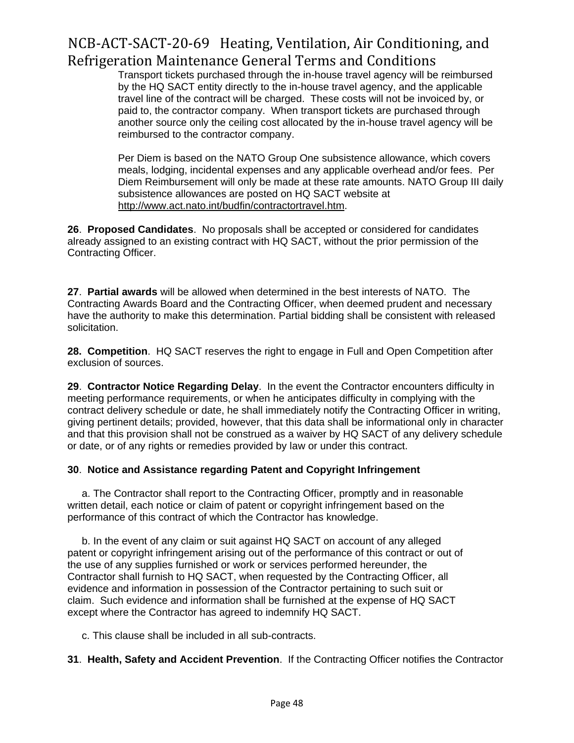Transport tickets purchased through the in-house travel agency will be reimbursed by the HQ SACT entity directly to the in-house travel agency, and the applicable travel line of the contract will be charged. These costs will not be invoiced by, or paid to, the contractor company. When transport tickets are purchased through another source only the ceiling cost allocated by the in-house travel agency will be reimbursed to the contractor company.

Per Diem is based on the NATO Group One subsistence allowance, which covers meals, lodging, incidental expenses and any applicable overhead and/or fees. Per Diem Reimbursement will only be made at these rate amounts. NATO Group III daily subsistence allowances are posted on HQ SACT website at [http://www.act.nato.int/budfin/contractortravel.htm.](http://www.act.nato.int/budfin/contractortravel.htm)

**26**. **Proposed Candidates**. No proposals shall be accepted or considered for candidates already assigned to an existing contract with HQ SACT, without the prior permission of the Contracting Officer.

**27**. **Partial awards** will be allowed when determined in the best interests of NATO. The Contracting Awards Board and the Contracting Officer, when deemed prudent and necessary have the authority to make this determination. Partial bidding shall be consistent with released solicitation.

**28. Competition**. HQ SACT reserves the right to engage in Full and Open Competition after exclusion of sources.

**29**. **Contractor Notice Regarding Delay**. In the event the Contractor encounters difficulty in meeting performance requirements, or when he anticipates difficulty in complying with the contract delivery schedule or date, he shall immediately notify the Contracting Officer in writing, giving pertinent details; provided, however, that this data shall be informational only in character and that this provision shall not be construed as a waiver by HQ SACT of any delivery schedule or date, or of any rights or remedies provided by law or under this contract.

#### **30**. **Notice and Assistance regarding Patent and Copyright Infringement**

 a. The Contractor shall report to the Contracting Officer, promptly and in reasonable written detail, each notice or claim of patent or copyright infringement based on the performance of this contract of which the Contractor has knowledge.

 b. In the event of any claim or suit against HQ SACT on account of any alleged patent or copyright infringement arising out of the performance of this contract or out of the use of any supplies furnished or work or services performed hereunder, the Contractor shall furnish to HQ SACT, when requested by the Contracting Officer, all evidence and information in possession of the Contractor pertaining to such suit or claim. Such evidence and information shall be furnished at the expense of HQ SACT except where the Contractor has agreed to indemnify HQ SACT.

c. This clause shall be included in all sub-contracts.

#### **31**. **Health, Safety and Accident Prevention**. If the Contracting Officer notifies the Contractor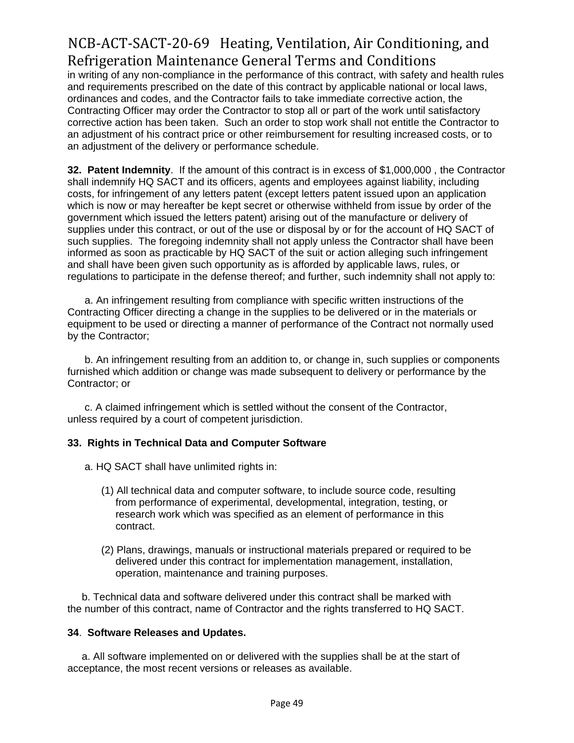in writing of any non-compliance in the performance of this contract, with safety and health rules and requirements prescribed on the date of this contract by applicable national or local laws, ordinances and codes, and the Contractor fails to take immediate corrective action, the Contracting Officer may order the Contractor to stop all or part of the work until satisfactory corrective action has been taken. Such an order to stop work shall not entitle the Contractor to an adjustment of his contract price or other reimbursement for resulting increased costs, or to an adjustment of the delivery or performance schedule.

**32. Patent Indemnity**. If the amount of this contract is in excess of \$1,000,000 , the Contractor shall indemnify HQ SACT and its officers, agents and employees against liability, including costs, for infringement of any letters patent (except letters patent issued upon an application which is now or may hereafter be kept secret or otherwise withheld from issue by order of the government which issued the letters patent) arising out of the manufacture or delivery of supplies under this contract, or out of the use or disposal by or for the account of HQ SACT of such supplies. The foregoing indemnity shall not apply unless the Contractor shall have been informed as soon as practicable by HQ SACT of the suit or action alleging such infringement and shall have been given such opportunity as is afforded by applicable laws, rules, or regulations to participate in the defense thereof; and further, such indemnity shall not apply to:

 a. An infringement resulting from compliance with specific written instructions of the Contracting Officer directing a change in the supplies to be delivered or in the materials or equipment to be used or directing a manner of performance of the Contract not normally used by the Contractor;

 b. An infringement resulting from an addition to, or change in, such supplies or components furnished which addition or change was made subsequent to delivery or performance by the Contractor; or

 c. A claimed infringement which is settled without the consent of the Contractor, unless required by a court of competent jurisdiction.

#### **33. Rights in Technical Data and Computer Software**

- a. HQ SACT shall have unlimited rights in:
	- (1) All technical data and computer software, to include source code, resulting from performance of experimental, developmental, integration, testing, or research work which was specified as an element of performance in this contract.
	- (2) Plans, drawings, manuals or instructional materials prepared or required to be delivered under this contract for implementation management, installation, operation, maintenance and training purposes.

 b. Technical data and software delivered under this contract shall be marked with the number of this contract, name of Contractor and the rights transferred to HQ SACT.

#### **34**. **Software Releases and Updates.**

 a. All software implemented on or delivered with the supplies shall be at the start of acceptance, the most recent versions or releases as available.